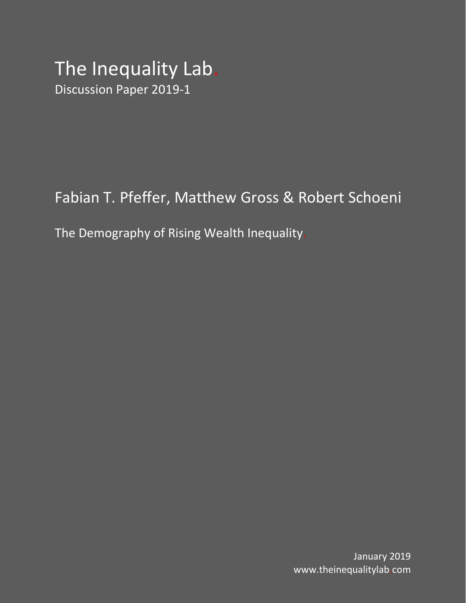# The Inequality Lab. Discussion Paper 2019-1

# Fabian T. Pfeffer, Matthew Gross & Robert Schoeni

The Demography of Rising Wealth Inequality.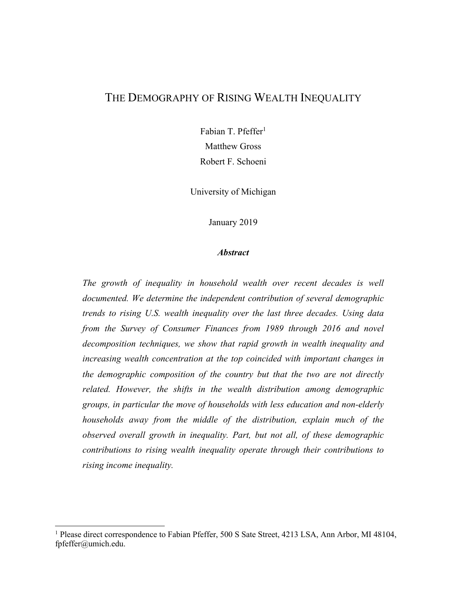#### THE DEMOGRAPHY OF RISING WEALTH INEQUALITY

Fabian T. Pfeffer<sup>1</sup> Matthew Gross Robert F. Schoeni

University of Michigan

January 2019

#### *Abstract*

*The growth of inequality in household wealth over recent decades is well documented. We determine the independent contribution of several demographic trends to rising U.S. wealth inequality over the last three decades. Using data from the Survey of Consumer Finances from 1989 through 2016 and novel decomposition techniques, we show that rapid growth in wealth inequality and increasing wealth concentration at the top coincided with important changes in the demographic composition of the country but that the two are not directly related. However, the shifts in the wealth distribution among demographic groups, in particular the move of households with less education and non-elderly households away from the middle of the distribution, explain much of the observed overall growth in inequality. Part, but not all, of these demographic contributions to rising wealth inequality operate through their contributions to rising income inequality.*

 

<sup>&</sup>lt;sup>1</sup> Please direct correspondence to Fabian Pfeffer, 500 S Sate Street, 4213 LSA, Ann Arbor, MI 48104, fpfeffer@umich.edu.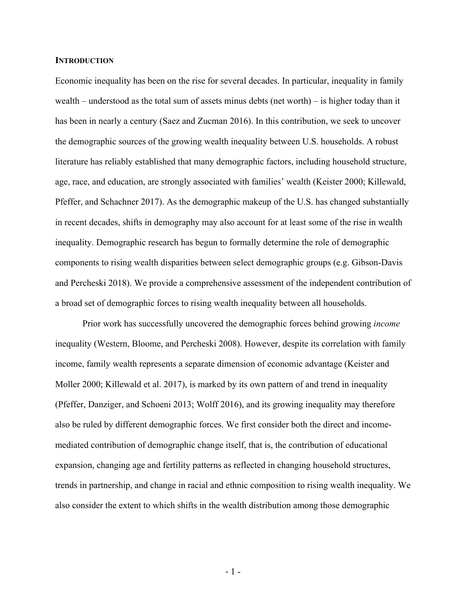#### **INTRODUCTION**

Economic inequality has been on the rise for several decades. In particular, inequality in family wealth – understood as the total sum of assets minus debts (net worth) – is higher today than it has been in nearly a century (Saez and Zucman 2016). In this contribution, we seek to uncover the demographic sources of the growing wealth inequality between U.S. households. A robust literature has reliably established that many demographic factors, including household structure, age, race, and education, are strongly associated with families' wealth (Keister 2000; Killewald, Pfeffer, and Schachner 2017). As the demographic makeup of the U.S. has changed substantially in recent decades, shifts in demography may also account for at least some of the rise in wealth inequality. Demographic research has begun to formally determine the role of demographic components to rising wealth disparities between select demographic groups (e.g. Gibson-Davis and Percheski 2018). We provide a comprehensive assessment of the independent contribution of a broad set of demographic forces to rising wealth inequality between all households.

Prior work has successfully uncovered the demographic forces behind growing *income* inequality (Western, Bloome, and Percheski 2008). However, despite its correlation with family income, family wealth represents a separate dimension of economic advantage (Keister and Moller 2000; Killewald et al. 2017), is marked by its own pattern of and trend in inequality (Pfeffer, Danziger, and Schoeni 2013; Wolff 2016), and its growing inequality may therefore also be ruled by different demographic forces. We first consider both the direct and incomemediated contribution of demographic change itself, that is, the contribution of educational expansion, changing age and fertility patterns as reflected in changing household structures, trends in partnership, and change in racial and ethnic composition to rising wealth inequality. We also consider the extent to which shifts in the wealth distribution among those demographic

- 1 -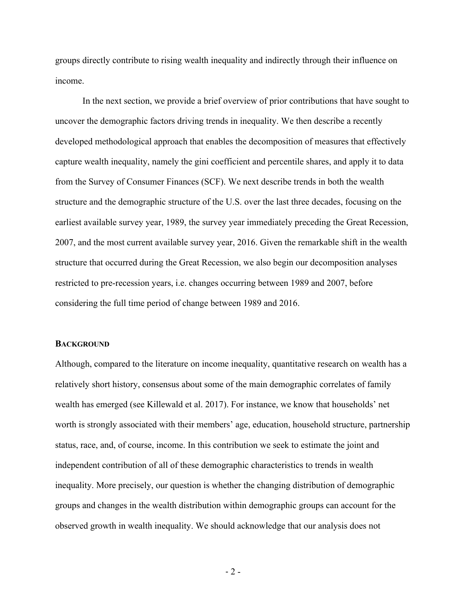groups directly contribute to rising wealth inequality and indirectly through their influence on income.

In the next section, we provide a brief overview of prior contributions that have sought to uncover the demographic factors driving trends in inequality. We then describe a recently developed methodological approach that enables the decomposition of measures that effectively capture wealth inequality, namely the gini coefficient and percentile shares, and apply it to data from the Survey of Consumer Finances (SCF). We next describe trends in both the wealth structure and the demographic structure of the U.S. over the last three decades, focusing on the earliest available survey year, 1989, the survey year immediately preceding the Great Recession, 2007, and the most current available survey year, 2016. Given the remarkable shift in the wealth structure that occurred during the Great Recession, we also begin our decomposition analyses restricted to pre-recession years, i.e. changes occurring between 1989 and 2007, before considering the full time period of change between 1989 and 2016.

#### **BACKGROUND**

Although, compared to the literature on income inequality, quantitative research on wealth has a relatively short history, consensus about some of the main demographic correlates of family wealth has emerged (see Killewald et al. 2017). For instance, we know that households' net worth is strongly associated with their members' age, education, household structure, partnership status, race, and, of course, income. In this contribution we seek to estimate the joint and independent contribution of all of these demographic characteristics to trends in wealth inequality. More precisely, our question is whether the changing distribution of demographic groups and changes in the wealth distribution within demographic groups can account for the observed growth in wealth inequality. We should acknowledge that our analysis does not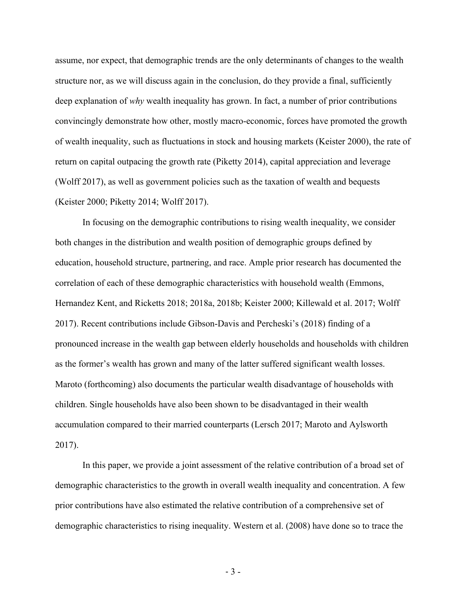assume, nor expect, that demographic trends are the only determinants of changes to the wealth structure nor, as we will discuss again in the conclusion, do they provide a final, sufficiently deep explanation of *why* wealth inequality has grown. In fact, a number of prior contributions convincingly demonstrate how other, mostly macro-economic, forces have promoted the growth of wealth inequality, such as fluctuations in stock and housing markets (Keister 2000), the rate of return on capital outpacing the growth rate (Piketty 2014), capital appreciation and leverage (Wolff 2017), as well as government policies such as the taxation of wealth and bequests (Keister 2000; Piketty 2014; Wolff 2017).

In focusing on the demographic contributions to rising wealth inequality, we consider both changes in the distribution and wealth position of demographic groups defined by education, household structure, partnering, and race. Ample prior research has documented the correlation of each of these demographic characteristics with household wealth (Emmons, Hernandez Kent, and Ricketts 2018; 2018a, 2018b; Keister 2000; Killewald et al. 2017; Wolff 2017). Recent contributions include Gibson-Davis and Percheski's (2018) finding of a pronounced increase in the wealth gap between elderly households and households with children as the former's wealth has grown and many of the latter suffered significant wealth losses. Maroto (forthcoming) also documents the particular wealth disadvantage of households with children. Single households have also been shown to be disadvantaged in their wealth accumulation compared to their married counterparts (Lersch 2017; Maroto and Aylsworth 2017).

In this paper, we provide a joint assessment of the relative contribution of a broad set of demographic characteristics to the growth in overall wealth inequality and concentration. A few prior contributions have also estimated the relative contribution of a comprehensive set of demographic characteristics to rising inequality. Western et al. (2008) have done so to trace the

- 3 -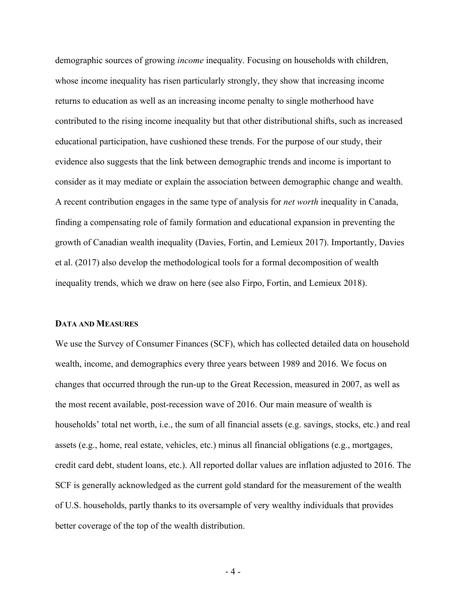demographic sources of growing *income* inequality. Focusing on households with children, whose income inequality has risen particularly strongly, they show that increasing income returns to education as well as an increasing income penalty to single motherhood have contributed to the rising income inequality but that other distributional shifts, such as increased educational participation, have cushioned these trends. For the purpose of our study, their evidence also suggests that the link between demographic trends and income is important to consider as it may mediate or explain the association between demographic change and wealth. A recent contribution engages in the same type of analysis for *net worth* inequality in Canada, finding a compensating role of family formation and educational expansion in preventing the growth of Canadian wealth inequality (Davies, Fortin, and Lemieux 2017). Importantly, Davies et al. (2017) also develop the methodological tools for a formal decomposition of wealth inequality trends, which we draw on here (see also Firpo, Fortin, and Lemieux 2018).

#### **DATA AND MEASURES**

We use the Survey of Consumer Finances (SCF), which has collected detailed data on household wealth, income, and demographics every three years between 1989 and 2016. We focus on changes that occurred through the run-up to the Great Recession, measured in 2007, as well as the most recent available, post-recession wave of 2016. Our main measure of wealth is households' total net worth, i.e., the sum of all financial assets (e.g. savings, stocks, etc.) and real assets (e.g., home, real estate, vehicles, etc.) minus all financial obligations (e.g., mortgages, credit card debt, student loans, etc.). All reported dollar values are inflation adjusted to 2016. The SCF is generally acknowledged as the current gold standard for the measurement of the wealth of U.S. households, partly thanks to its oversample of very wealthy individuals that provides better coverage of the top of the wealth distribution.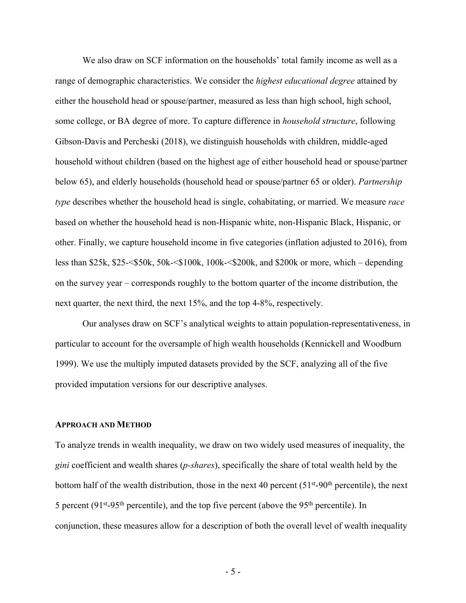We also draw on SCF information on the households' total family income as well as a range of demographic characteristics. We consider the *highest educational degree* attained by either the household head or spouse/partner, measured as less than high school, high school, some college, or BA degree of more. To capture difference in *household structure*, following Gibson-Davis and Percheski (2018), we distinguish households with children, middle-aged household without children (based on the highest age of either household head or spouse/partner below 65), and elderly households (household head or spouse/partner 65 or older). *Partnership type* describes whether the household head is single, cohabitating, or married. We measure *race* based on whether the household head is non-Hispanic white, non-Hispanic Black, Hispanic, or other. Finally, we capture household income in five categories (inflation adjusted to 2016), from less than \$25k, \$25-<\$50k, 50k-<\$100k, 100k-<\$200k, and \$200k or more, which – depending on the survey year – corresponds roughly to the bottom quarter of the income distribution, the next quarter, the next third, the next 15%, and the top 4-8%, respectively.

Our analyses draw on SCF's analytical weights to attain population-representativeness, in particular to account for the oversample of high wealth households (Kennickell and Woodburn 1999). We use the multiply imputed datasets provided by the SCF, analyzing all of the five provided imputation versions for our descriptive analyses.

#### **APPROACH AND METHOD**

To analyze trends in wealth inequality, we draw on two widely used measures of inequality, the *gini* coefficient and wealth shares (*p-shares*), specifically the share of total wealth held by the bottom half of the wealth distribution, those in the next 40 percent  $(51<sup>st</sup>-90<sup>th</sup>$  percentile), the next 5 percent ( $91<sup>st</sup>-95<sup>th</sup>$  percentile), and the top five percent (above the  $95<sup>th</sup>$  percentile). In conjunction, these measures allow for a description of both the overall level of wealth inequality

- 5 -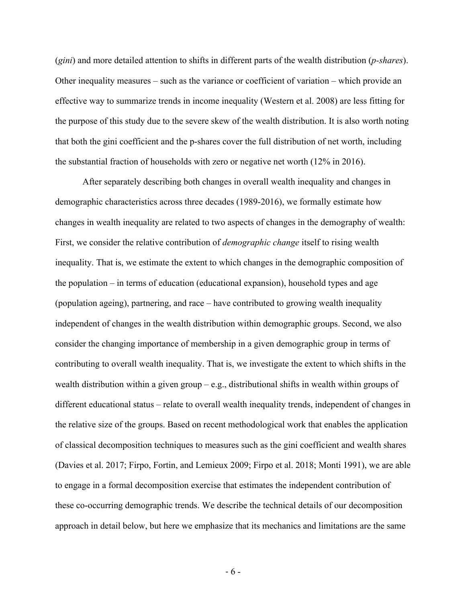(*gini*) and more detailed attention to shifts in different parts of the wealth distribution (*p-shares*). Other inequality measures – such as the variance or coefficient of variation – which provide an effective way to summarize trends in income inequality (Western et al. 2008) are less fitting for the purpose of this study due to the severe skew of the wealth distribution. It is also worth noting that both the gini coefficient and the p-shares cover the full distribution of net worth, including the substantial fraction of households with zero or negative net worth (12% in 2016).

After separately describing both changes in overall wealth inequality and changes in demographic characteristics across three decades (1989-2016), we formally estimate how changes in wealth inequality are related to two aspects of changes in the demography of wealth: First, we consider the relative contribution of *demographic change* itself to rising wealth inequality. That is, we estimate the extent to which changes in the demographic composition of the population – in terms of education (educational expansion), household types and age (population ageing), partnering, and race – have contributed to growing wealth inequality independent of changes in the wealth distribution within demographic groups. Second, we also consider the changing importance of membership in a given demographic group in terms of contributing to overall wealth inequality. That is, we investigate the extent to which shifts in the wealth distribution within a given group  $-e.g.,$  distributional shifts in wealth within groups of different educational status – relate to overall wealth inequality trends, independent of changes in the relative size of the groups. Based on recent methodological work that enables the application of classical decomposition techniques to measures such as the gini coefficient and wealth shares (Davies et al. 2017; Firpo, Fortin, and Lemieux 2009; Firpo et al. 2018; Monti 1991), we are able to engage in a formal decomposition exercise that estimates the independent contribution of these co-occurring demographic trends. We describe the technical details of our decomposition approach in detail below, but here we emphasize that its mechanics and limitations are the same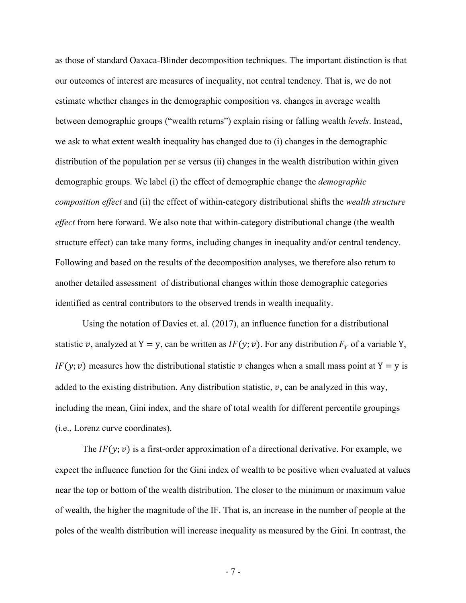as those of standard Oaxaca-Blinder decomposition techniques. The important distinction is that our outcomes of interest are measures of inequality, not central tendency. That is, we do not estimate whether changes in the demographic composition vs. changes in average wealth between demographic groups ("wealth returns") explain rising or falling wealth *levels*. Instead, we ask to what extent wealth inequality has changed due to (i) changes in the demographic distribution of the population per se versus (ii) changes in the wealth distribution within given demographic groups. We label (i) the effect of demographic change the *demographic composition effect* and (ii) the effect of within-category distributional shifts the *wealth structure effect* from here forward. We also note that within-category distributional change (the wealth structure effect) can take many forms, including changes in inequality and/or central tendency. Following and based on the results of the decomposition analyses, we therefore also return to another detailed assessment of distributional changes within those demographic categories identified as central contributors to the observed trends in wealth inequality.

Using the notation of Davies et. al. (2017), an influence function for a distributional statistic v, analyzed at Y = y, can be written as  $IF(y; v)$ . For any distribution  $F<sub>Y</sub>$  of a variable Y,  $IF(y; v)$  measures how the distributional statistic v changes when a small mass point at Y = y is added to the existing distribution. Any distribution statistic,  $v$ , can be analyzed in this way, including the mean, Gini index, and the share of total wealth for different percentile groupings (i.e., Lorenz curve coordinates).

The  $IF(y; v)$  is a first-order approximation of a directional derivative. For example, we expect the influence function for the Gini index of wealth to be positive when evaluated at values near the top or bottom of the wealth distribution. The closer to the minimum or maximum value of wealth, the higher the magnitude of the IF. That is, an increase in the number of people at the poles of the wealth distribution will increase inequality as measured by the Gini. In contrast, the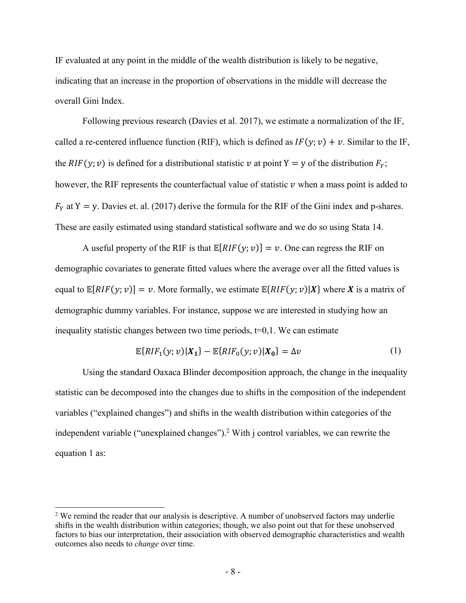IF evaluated at any point in the middle of the wealth distribution is likely to be negative, indicating that an increase in the proportion of observations in the middle will decrease the overall Gini Index.

Following previous research (Davies et al. 2017), we estimate a normalization of the IF, called a re-centered influence function (RIF), which is defined as  $IF(y; v) + v$ . Similar to the IF, the RIF(y; v) is defined for a distributional statistic v at point Y = y of the distribution  $F_y$ ; however, the RIF represents the counterfactual value of statistic  $\nu$  when a mass point is added to  $F<sub>y</sub>$  at Y = y. Davies et. al. (2017) derive the formula for the RIF of the Gini index and p-shares. These are easily estimated using standard statistical software and we do so using Stata 14.

A useful property of the RIF is that  $\mathbb{E}[RIF(y; v)] = v$ . One can regress the RIF on demographic covariates to generate fitted values where the average over all the fitted values is equal to  $\mathbb{E}[RIF(y; v)] = v$ . More formally, we estimate  $\mathbb{E}{RIF(y; v)|X}$  where X is a matrix of demographic dummy variables. For instance, suppose we are interested in studying how an inequality statistic changes between two time periods,  $t=0,1$ . We can estimate

$$
\mathbb{E}\{RIF_1(y; v)|X_1\} - \mathbb{E}\{RIF_0(y; v)|X_0\} = \Delta v
$$
\n(1)

Using the standard Oaxaca Blinder decomposition approach, the change in the inequality statistic can be decomposed into the changes due to shifts in the composition of the independent variables ("explained changes") and shifts in the wealth distribution within categories of the independent variable ("unexplained changes").2 With j control variables, we can rewrite the equation 1 as:

 

<sup>&</sup>lt;sup>2</sup> We remind the reader that our analysis is descriptive. A number of unobserved factors may underlie shifts in the wealth distribution within categories; though, we also point out that for these unobserved factors to bias our interpretation, their association with observed demographic characteristics and wealth outcomes also needs to *change* over time.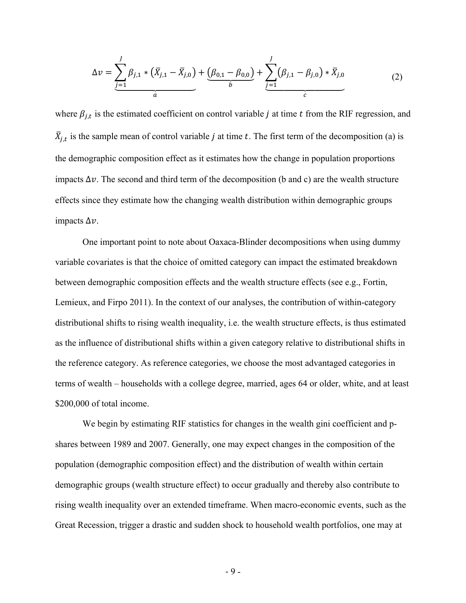$$
\Delta v = \sum_{j=1}^{J} \beta_{j,1} * (\bar{X}_{j,1} - \bar{X}_{j,0}) + \underbrace{(\beta_{0,1} - \beta_{0,0})}_{b} + \sum_{j=1}^{J} (\beta_{j,1} - \beta_{j,0}) * \bar{X}_{j,0}
$$
(2)

where  $\beta_{j,t}$  is the estimated coefficient on control variable j at time t from the RIF regression, and  $\bar{X}_{j,t}$  is the sample mean of control variable j at time t. The first term of the decomposition (a) is the demographic composition effect as it estimates how the change in population proportions impacts  $\Delta v$ . The second and third term of the decomposition (b and c) are the wealth structure effects since they estimate how the changing wealth distribution within demographic groups impacts  $\Delta v$ .

One important point to note about Oaxaca-Blinder decompositions when using dummy variable covariates is that the choice of omitted category can impact the estimated breakdown between demographic composition effects and the wealth structure effects (see e.g., Fortin, Lemieux, and Firpo 2011). In the context of our analyses, the contribution of within-category distributional shifts to rising wealth inequality, i.e. the wealth structure effects, is thus estimated as the influence of distributional shifts within a given category relative to distributional shifts in the reference category. As reference categories, we choose the most advantaged categories in terms of wealth – households with a college degree, married, ages 64 or older, white, and at least \$200,000 of total income.

We begin by estimating RIF statistics for changes in the wealth gini coefficient and pshares between 1989 and 2007. Generally, one may expect changes in the composition of the population (demographic composition effect) and the distribution of wealth within certain demographic groups (wealth structure effect) to occur gradually and thereby also contribute to rising wealth inequality over an extended timeframe. When macro-economic events, such as the Great Recession, trigger a drastic and sudden shock to household wealth portfolios, one may at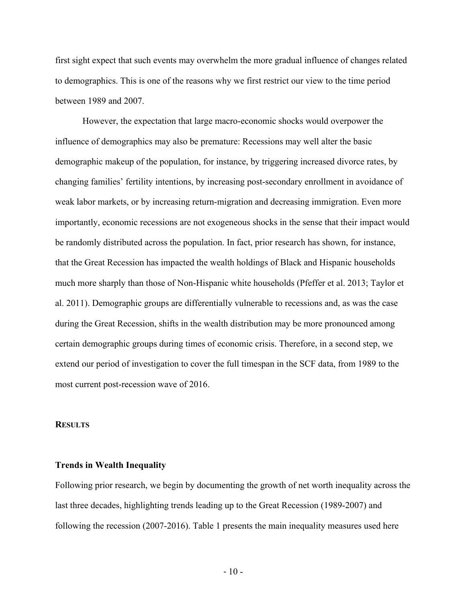first sight expect that such events may overwhelm the more gradual influence of changes related to demographics. This is one of the reasons why we first restrict our view to the time period between 1989 and 2007.

However, the expectation that large macro-economic shocks would overpower the influence of demographics may also be premature: Recessions may well alter the basic demographic makeup of the population, for instance, by triggering increased divorce rates, by changing families' fertility intentions, by increasing post-secondary enrollment in avoidance of weak labor markets, or by increasing return-migration and decreasing immigration. Even more importantly, economic recessions are not exogeneous shocks in the sense that their impact would be randomly distributed across the population. In fact, prior research has shown, for instance, that the Great Recession has impacted the wealth holdings of Black and Hispanic households much more sharply than those of Non-Hispanic white households (Pfeffer et al. 2013; Taylor et al. 2011). Demographic groups are differentially vulnerable to recessions and, as was the case during the Great Recession, shifts in the wealth distribution may be more pronounced among certain demographic groups during times of economic crisis. Therefore, in a second step, we extend our period of investigation to cover the full timespan in the SCF data, from 1989 to the most current post-recession wave of 2016.

#### **RESULTS**

#### **Trends in Wealth Inequality**

Following prior research, we begin by documenting the growth of net worth inequality across the last three decades, highlighting trends leading up to the Great Recession (1989-2007) and following the recession (2007-2016). Table 1 presents the main inequality measures used here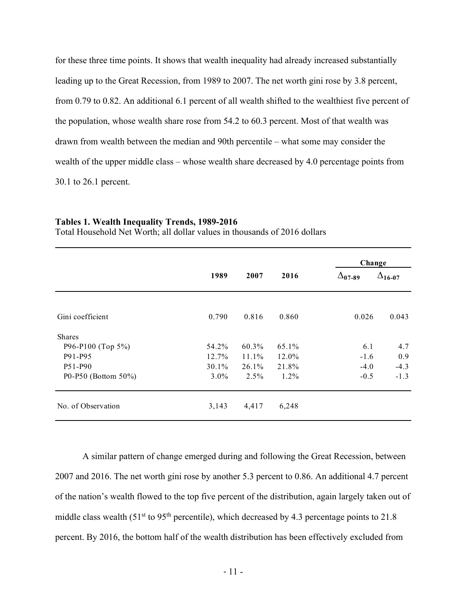for these three time points. It shows that wealth inequality had already increased substantially leading up to the Great Recession, from 1989 to 2007. The net worth gini rose by 3.8 percent, from 0.79 to 0.82. An additional 6.1 percent of all wealth shifted to the wealthiest five percent of the population, whose wealth share rose from 54.2 to 60.3 percent. Most of that wealth was drawn from wealth between the median and 90th percentile – what some may consider the wealth of the upper middle class – whose wealth share decreased by 4.0 percentage points from 30.1 to 26.1 percent.

|                     |         |       |         | Change           |                  |
|---------------------|---------|-------|---------|------------------|------------------|
|                     | 1989    | 2007  | 2016    | $\Delta_{07-89}$ | $\Delta_{16-07}$ |
| Gini coefficient    | 0.790   | 0.816 | 0.860   | 0.026            | 0.043            |
| <b>Shares</b>       |         |       |         |                  |                  |
| P96-P100 (Top 5%)   | 54.2%   | 60.3% | 65.1%   | 6.1              | 4.7              |
| P91-P95             | 12.7%   | 11.1% | 12.0%   | $-1.6$           | 0.9              |
| P51-P90             | 30.1%   | 26.1% | 21.8%   | $-4.0$           | $-4.3$           |
| P0-P50 (Bottom 50%) | $3.0\%$ | 2.5%  | $1.2\%$ | $-0.5$           | $-1.3$           |
| No. of Observation  | 3,143   | 4,417 | 6,248   |                  |                  |

#### **Tables 1. Wealth Inequality Trends, 1989-2016**

Total Household Net Worth; all dollar values in thousands of 2016 dollars

A similar pattern of change emerged during and following the Great Recession, between 2007 and 2016. The net worth gini rose by another 5.3 percent to 0.86. An additional 4.7 percent of the nation's wealth flowed to the top five percent of the distribution, again largely taken out of middle class wealth (51<sup>st</sup> to 95<sup>th</sup> percentile), which decreased by 4.3 percentage points to 21.8 percent. By 2016, the bottom half of the wealth distribution has been effectively excluded from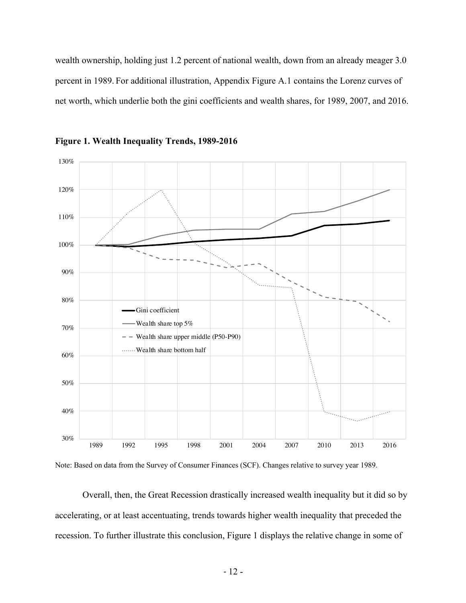wealth ownership, holding just 1.2 percent of national wealth, down from an already meager 3.0 percent in 1989. For additional illustration, Appendix Figure A.1 contains the Lorenz curves of net worth, which underlie both the gini coefficients and wealth shares, for 1989, 2007, and 2016.



**Figure 1. Wealth Inequality Trends, 1989-2016**



Overall, then, the Great Recession drastically increased wealth inequality but it did so by accelerating, or at least accentuating, trends towards higher wealth inequality that preceded the recession. To further illustrate this conclusion, Figure 1 displays the relative change in some of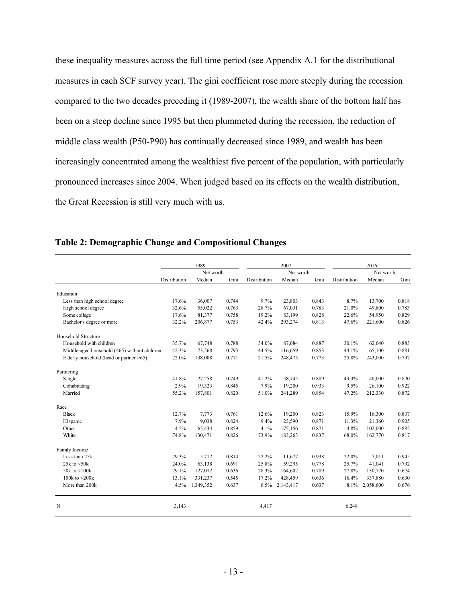these inequality measures across the full time period (see Appendix A.1 for the distributional measures in each SCF survey year). The gini coefficient rose more steeply during the recession compared to the two decades preceding it (1989-2007), the wealth share of the bottom half has been on a steep decline since 1995 but then plummeted during the recession, the reduction of middle class wealth (P50-P90) has continually decreased since 1989, and wealth has been increasingly concentrated among the wealthiest five percent of the population, with particularly pronounced increases since 2004. When judged based on its effects on the wealth distribution, the Great Recession is still very much with us.

|                                              |              | 1989      |       |              | 2007      |       |              | 2016      |       |
|----------------------------------------------|--------------|-----------|-------|--------------|-----------|-------|--------------|-----------|-------|
|                                              |              | Net worth |       |              | Net worth |       |              | Net worth |       |
|                                              | Distribution | Median    | Gini  | Distribution | Median    | Gini  | Distribution | Median    | Gini  |
| Education                                    |              |           |       |              |           |       |              |           |       |
| Less than high school degree                 | 17.6%        | 36,007    | 0.744 | 9.7%         | 23,803    | 0.843 | 8.7%         | 13,700    | 0.818 |
| High school degree                           | 32.6%        | 55,022    | 0.763 | 28.7%        | 67,031    | 0.783 | 21.0%        | 49,800    | 0.783 |
| Some college                                 | 17.6%        | 81,377    | 0.758 | 19.2%        | 83,199    | 0.828 | 22.6%        | 54,950    | 0.829 |
| Bachelor's degree or more                    | 32.2%        | 206,877   | 0.753 | 42.4%        | 293,274   | 0.813 | 47.6%        | 221,600   | 0.826 |
| Household Structure                          |              |           |       |              |           |       |              |           |       |
| Household with children                      | 35.7%        | 67,748    | 0.788 | 34.0%        | 87,084    | 0.887 | 30.1%        | 62,640    | 0.883 |
| Middle-aged household (<65) without children | 42.3%        | 73,568    | 0.793 | 44.5%        | 116,659   | 0.853 | 44.1%        | 65,100    | 0.881 |
| Elderly household (head or partner >65)      | 22.0%        | 138,008   | 0.771 | 21.5%        | 248,475   | 0.773 | 25.8%        | 243,000   | 0.797 |
| Partnering                                   |              |           |       |              |           |       |              |           |       |
| Single                                       | 41.8%        | 27,258    | 0.749 | 41.2%        | 58,745    | 0.809 | 43.3%        | 40,000    | 0.820 |
| Cohabitating                                 | 2.9%         | 19,323    | 0.845 | 7.9%         | 19,200    | 0.933 | 9.5%         | 26,100    | 0.922 |
| Married                                      | 55.2%        | 157,801   | 0.820 | 51.0%        | 241,289   | 0.854 | 47.2%        | 212,330   | 0.872 |
| Race                                         |              |           |       |              |           |       |              |           |       |
| <b>Black</b>                                 | 12.7%        | 7,773     | 0.761 | 12.6%        | 19,200    | 0.823 | 15.9%        | 16,300    | 0.837 |
| Hispanic                                     | 7.9%         | 9,038     | 0.824 | 9.4%         | 23,590    | 0.871 | 11.3%        | 21,360    | 0.905 |
| Other                                        | 4.5%         | 65,434    | 0.859 | 4.1%         | 175,156   | 0.871 | 4.8%         | 102,000   | 0.882 |
| White                                        | 74.8%        | 130,471   | 0.826 | 73.9%        | 183,263   | 0.837 | 68.0%        | 162,770   | 0.817 |
| Family Income                                |              |           |       |              |           |       |              |           |       |
| Less than 25k                                | 29.3%        | 5,712     | 0.814 | 22.2%        | 11,677    | 0.938 | 22.0%        | 7,011     | 0.945 |
| 25 $k$ to $\leq$ 50 $k$                      | 24.0%        | 63,138    | 0.691 | 25.8%        | 59,295    | 0.778 | 25.7%        | 41,041    | 0.792 |
| 50 $k$ to $\leq 100k$                        | 29.1%        | 127,072   | 0.636 | 28.3%        | 164,602   | 0.709 | 27.8%        | 130,770   | 0.674 |
| 100 $k$ to $\leq$ 200 $k$                    | 13.1%        | 331,237   | 0.545 | 17.2%        | 428,459   | 0.636 | 16.4%        | 337,880   | 0.630 |
| More than 200k                               | 4.5%         | 1,349,352 | 0.637 | 6.5%         | 2,143,417 | 0.637 | 8.1%         | 2,058,600 | 0.676 |
| N                                            | 3,143        |           |       | 4,417        |           |       | 6,248        |           |       |

#### **Table 2: Demographic Change and Compositional Changes**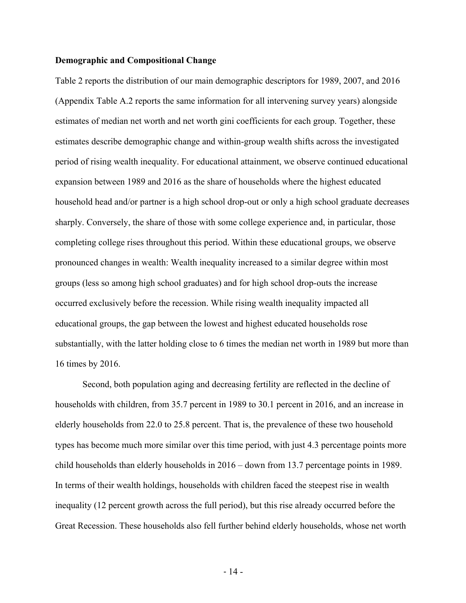#### **Demographic and Compositional Change**

Table 2 reports the distribution of our main demographic descriptors for 1989, 2007, and 2016 (Appendix Table A.2 reports the same information for all intervening survey years) alongside estimates of median net worth and net worth gini coefficients for each group. Together, these estimates describe demographic change and within-group wealth shifts across the investigated period of rising wealth inequality. For educational attainment, we observe continued educational expansion between 1989 and 2016 as the share of households where the highest educated household head and/or partner is a high school drop-out or only a high school graduate decreases sharply. Conversely, the share of those with some college experience and, in particular, those completing college rises throughout this period. Within these educational groups, we observe pronounced changes in wealth: Wealth inequality increased to a similar degree within most groups (less so among high school graduates) and for high school drop-outs the increase occurred exclusively before the recession. While rising wealth inequality impacted all educational groups, the gap between the lowest and highest educated households rose substantially, with the latter holding close to 6 times the median net worth in 1989 but more than 16 times by 2016.

Second, both population aging and decreasing fertility are reflected in the decline of households with children, from 35.7 percent in 1989 to 30.1 percent in 2016, and an increase in elderly households from 22.0 to 25.8 percent. That is, the prevalence of these two household types has become much more similar over this time period, with just 4.3 percentage points more child households than elderly households in 2016 – down from 13.7 percentage points in 1989. In terms of their wealth holdings, households with children faced the steepest rise in wealth inequality (12 percent growth across the full period), but this rise already occurred before the Great Recession. These households also fell further behind elderly households, whose net worth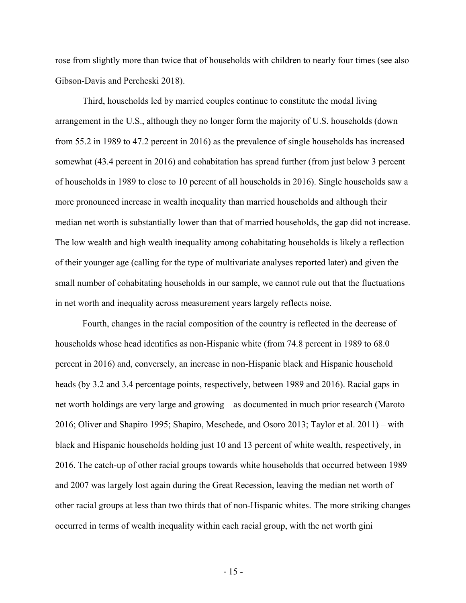rose from slightly more than twice that of households with children to nearly four times (see also Gibson-Davis and Percheski 2018).

Third, households led by married couples continue to constitute the modal living arrangement in the U.S., although they no longer form the majority of U.S. households (down from 55.2 in 1989 to 47.2 percent in 2016) as the prevalence of single households has increased somewhat (43.4 percent in 2016) and cohabitation has spread further (from just below 3 percent of households in 1989 to close to 10 percent of all households in 2016). Single households saw a more pronounced increase in wealth inequality than married households and although their median net worth is substantially lower than that of married households, the gap did not increase. The low wealth and high wealth inequality among cohabitating households is likely a reflection of their younger age (calling for the type of multivariate analyses reported later) and given the small number of cohabitating households in our sample, we cannot rule out that the fluctuations in net worth and inequality across measurement years largely reflects noise.

Fourth, changes in the racial composition of the country is reflected in the decrease of households whose head identifies as non-Hispanic white (from 74.8 percent in 1989 to 68.0 percent in 2016) and, conversely, an increase in non-Hispanic black and Hispanic household heads (by 3.2 and 3.4 percentage points, respectively, between 1989 and 2016). Racial gaps in net worth holdings are very large and growing – as documented in much prior research (Maroto 2016; Oliver and Shapiro 1995; Shapiro, Meschede, and Osoro 2013; Taylor et al. 2011) – with black and Hispanic households holding just 10 and 13 percent of white wealth, respectively, in 2016. The catch-up of other racial groups towards white households that occurred between 1989 and 2007 was largely lost again during the Great Recession, leaving the median net worth of other racial groups at less than two thirds that of non-Hispanic whites. The more striking changes occurred in terms of wealth inequality within each racial group, with the net worth gini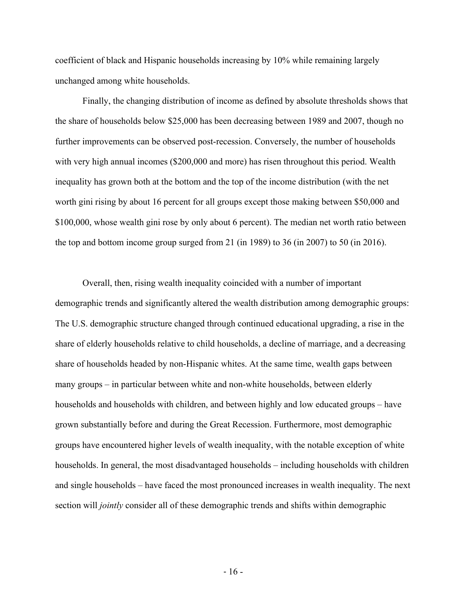coefficient of black and Hispanic households increasing by 10% while remaining largely unchanged among white households.

Finally, the changing distribution of income as defined by absolute thresholds shows that the share of households below \$25,000 has been decreasing between 1989 and 2007, though no further improvements can be observed post-recession. Conversely, the number of households with very high annual incomes (\$200,000 and more) has risen throughout this period. Wealth inequality has grown both at the bottom and the top of the income distribution (with the net worth gini rising by about 16 percent for all groups except those making between \$50,000 and \$100,000, whose wealth gini rose by only about 6 percent). The median net worth ratio between the top and bottom income group surged from 21 (in 1989) to 36 (in 2007) to 50 (in 2016).

Overall, then, rising wealth inequality coincided with a number of important demographic trends and significantly altered the wealth distribution among demographic groups: The U.S. demographic structure changed through continued educational upgrading, a rise in the share of elderly households relative to child households, a decline of marriage, and a decreasing share of households headed by non-Hispanic whites. At the same time, wealth gaps between many groups – in particular between white and non-white households, between elderly households and households with children, and between highly and low educated groups – have grown substantially before and during the Great Recession. Furthermore, most demographic groups have encountered higher levels of wealth inequality, with the notable exception of white households. In general, the most disadvantaged households – including households with children and single households – have faced the most pronounced increases in wealth inequality. The next section will *jointly* consider all of these demographic trends and shifts within demographic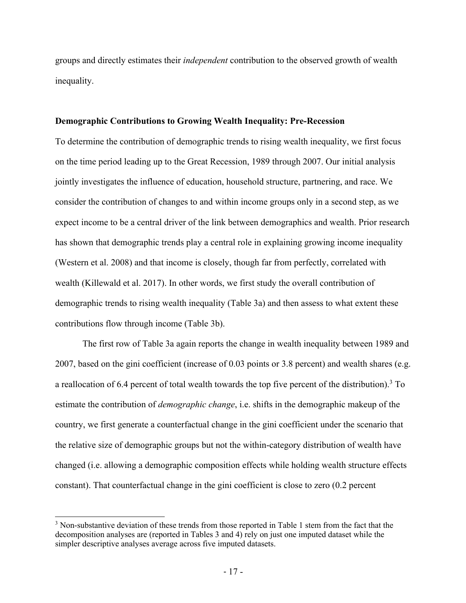groups and directly estimates their *independent* contribution to the observed growth of wealth inequality.

#### **Demographic Contributions to Growing Wealth Inequality: Pre-Recession**

To determine the contribution of demographic trends to rising wealth inequality, we first focus on the time period leading up to the Great Recession, 1989 through 2007. Our initial analysis jointly investigates the influence of education, household structure, partnering, and race. We consider the contribution of changes to and within income groups only in a second step, as we expect income to be a central driver of the link between demographics and wealth. Prior research has shown that demographic trends play a central role in explaining growing income inequality (Western et al. 2008) and that income is closely, though far from perfectly, correlated with wealth (Killewald et al. 2017). In other words, we first study the overall contribution of demographic trends to rising wealth inequality (Table 3a) and then assess to what extent these contributions flow through income (Table 3b).

The first row of Table 3a again reports the change in wealth inequality between 1989 and 2007, based on the gini coefficient (increase of 0.03 points or 3.8 percent) and wealth shares (e.g. a reallocation of 6.4 percent of total wealth towards the top five percent of the distribution).3 To estimate the contribution of *demographic change*, i.e. shifts in the demographic makeup of the country, we first generate a counterfactual change in the gini coefficient under the scenario that the relative size of demographic groups but not the within-category distribution of wealth have changed (i.e. allowing a demographic composition effects while holding wealth structure effects constant). That counterfactual change in the gini coefficient is close to zero (0.2 percent

 

<sup>&</sup>lt;sup>3</sup> Non-substantive deviation of these trends from those reported in Table 1 stem from the fact that the decomposition analyses are (reported in Tables 3 and 4) rely on just one imputed dataset while the simpler descriptive analyses average across five imputed datasets.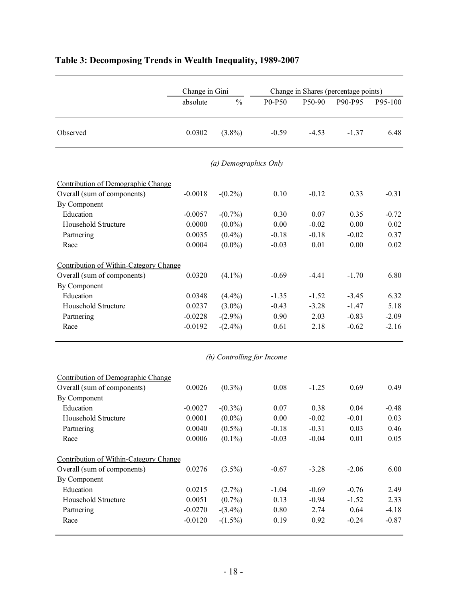|                                                                                   | Change in Gini |                            |          |         | Change in Shares (percentage points) |         |
|-----------------------------------------------------------------------------------|----------------|----------------------------|----------|---------|--------------------------------------|---------|
|                                                                                   | absolute       | $\frac{0}{0}$              | P0-P50   | P50-90  | P90-P95                              | P95-100 |
| Observed                                                                          | 0.0302         | $(3.8\%)$                  | $-0.59$  | $-4.53$ | $-1.37$                              | 6.48    |
|                                                                                   |                | (a) Demographics Only      |          |         |                                      |         |
| Contribution of Demographic Change<br>Overall (sum of components)<br>By Component | $-0.0018$      | $-(0.2\%)$                 | 0.10     | $-0.12$ | 0.33                                 | $-0.31$ |
| Education                                                                         | $-0.0057$      | $-(0.7\%)$                 | 0.30     | 0.07    | 0.35                                 | $-0.72$ |
| Household Structure                                                               | 0.0000         | $(0.0\%)$                  | 0.00     | $-0.02$ | 0.00                                 | 0.02    |
| Partnering                                                                        | 0.0035         | $(0.4\%)$                  | $-0.18$  | $-0.18$ | $-0.02$                              | 0.37    |
| Race                                                                              | 0.0004         | $(0.0\%)$                  | $-0.03$  | 0.01    | 0.00                                 | 0.02    |
| Contribution of Within-Category Change                                            |                |                            |          |         |                                      |         |
| Overall (sum of components)                                                       | 0.0320         | $(4.1\%)$                  | $-0.69$  | $-4.41$ | $-1.70$                              | 6.80    |
| By Component                                                                      |                |                            |          |         |                                      |         |
| Education                                                                         | 0.0348         | $(4.4\%)$                  | $-1.35$  | $-1.52$ | $-3.45$                              | 6.32    |
| Household Structure                                                               | 0.0237         | $(3.0\%)$                  | $-0.43$  | $-3.28$ | $-1.47$                              | 5.18    |
| Partnering                                                                        | $-0.0228$      | $-(2.9\%)$                 | 0.90     | 2.03    | $-0.83$                              | $-2.09$ |
| Race                                                                              | $-0.0192$      | $-(2.4\%)$                 | 0.61     | 2.18    | $-0.62$                              | $-2.16$ |
|                                                                                   |                | (b) Controlling for Income |          |         |                                      |         |
| Contribution of Demographic Change                                                |                |                            |          |         |                                      |         |
| Overall (sum of components)<br>By Component                                       | 0.0026         | $(0.3\%)$                  | 0.08     | $-1.25$ | 0.69                                 | 0.49    |
| Education                                                                         | $-0.0027$      | $-(0.3\%)$                 | 0.07     | 0.38    | 0.04                                 | $-0.48$ |
| Household Structure                                                               | 0.0001         | $(0.0\%)$                  | 0.00     | $-0.02$ | $-0.01$                              | 0.03    |
| Partnering                                                                        | 0.0040         | $(0.5\%)$                  | $-0.18$  | $-0.31$ | 0.03                                 | 0.46    |
| Race                                                                              | 0.0006         | $(0.1\%)$                  | $-0.03$  | $-0.04$ | 0.01                                 | 0.05    |
| Contribution of Within-Category Change                                            |                |                            |          |         |                                      |         |
| Overall (sum of components)                                                       | 0.0276         | $(3.5\%)$                  | $-0.67$  | $-3.28$ | $-2.06$                              | 6.00    |
| By Component                                                                      |                |                            |          |         |                                      |         |
| Education                                                                         | 0.0215         | $(2.7\%)$                  | $-1.04$  | $-0.69$ | $-0.76$                              | 2.49    |
| Household Structure                                                               | 0.0051         | $(0.7\%)$                  | 0.13     | $-0.94$ | $-1.52$                              | 2.33    |
| Partnering                                                                        | $-0.0270$      | $-(3.4\%)$                 | $0.80\,$ | 2.74    | 0.64                                 | $-4.18$ |
| Race                                                                              | $-0.0120$      | $-(1.5\%)$                 | 0.19     | 0.92    | $-0.24$                              | $-0.87$ |

## **Table 3: Decomposing Trends in Wealth Inequality, 1989-2007**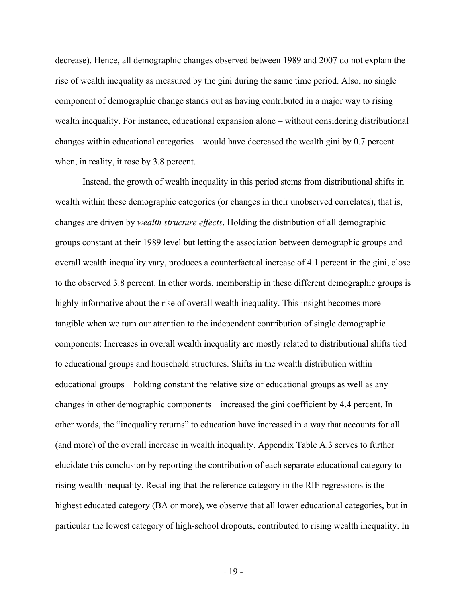decrease). Hence, all demographic changes observed between 1989 and 2007 do not explain the rise of wealth inequality as measured by the gini during the same time period. Also, no single component of demographic change stands out as having contributed in a major way to rising wealth inequality. For instance, educational expansion alone – without considering distributional changes within educational categories – would have decreased the wealth gini by 0.7 percent when, in reality, it rose by 3.8 percent.

Instead, the growth of wealth inequality in this period stems from distributional shifts in wealth within these demographic categories (or changes in their unobserved correlates), that is, changes are driven by *wealth structure effects*. Holding the distribution of all demographic groups constant at their 1989 level but letting the association between demographic groups and overall wealth inequality vary, produces a counterfactual increase of 4.1 percent in the gini, close to the observed 3.8 percent. In other words, membership in these different demographic groups is highly informative about the rise of overall wealth inequality. This insight becomes more tangible when we turn our attention to the independent contribution of single demographic components: Increases in overall wealth inequality are mostly related to distributional shifts tied to educational groups and household structures. Shifts in the wealth distribution within educational groups – holding constant the relative size of educational groups as well as any changes in other demographic components – increased the gini coefficient by 4.4 percent. In other words, the "inequality returns" to education have increased in a way that accounts for all (and more) of the overall increase in wealth inequality. Appendix Table A.3 serves to further elucidate this conclusion by reporting the contribution of each separate educational category to rising wealth inequality. Recalling that the reference category in the RIF regressions is the highest educated category (BA or more), we observe that all lower educational categories, but in particular the lowest category of high-school dropouts, contributed to rising wealth inequality. In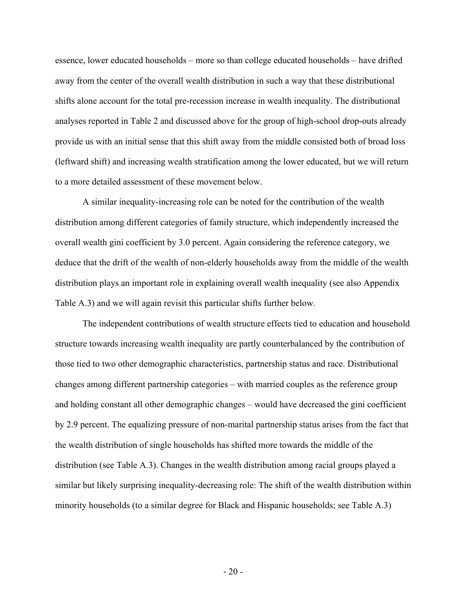essence, lower educated households – more so than college educated households – have drifted away from the center of the overall wealth distribution in such a way that these distributional shifts alone account for the total pre-recession increase in wealth inequality. The distributional analyses reported in Table 2 and discussed above for the group of high-school drop-outs already provide us with an initial sense that this shift away from the middle consisted both of broad loss (leftward shift) and increasing wealth stratification among the lower educated, but we will return to a more detailed assessment of these movement below.

A similar inequality-increasing role can be noted for the contribution of the wealth distribution among different categories of family structure, which independently increased the overall wealth gini coefficient by 3.0 percent. Again considering the reference category, we deduce that the drift of the wealth of non-elderly households away from the middle of the wealth distribution plays an important role in explaining overall wealth inequality (see also Appendix Table A.3) and we will again revisit this particular shifts further below.

The independent contributions of wealth structure effects tied to education and household structure towards increasing wealth inequality are partly counterbalanced by the contribution of those tied to two other demographic characteristics, partnership status and race. Distributional changes among different partnership categories – with married couples as the reference group and holding constant all other demographic changes – would have decreased the gini coefficient by 2.9 percent. The equalizing pressure of non-marital partnership status arises from the fact that the wealth distribution of single households has shifted more towards the middle of the distribution (see Table A.3). Changes in the wealth distribution among racial groups played a similar but likely surprising inequality-decreasing role: The shift of the wealth distribution within minority households (to a similar degree for Black and Hispanic households; see Table A.3)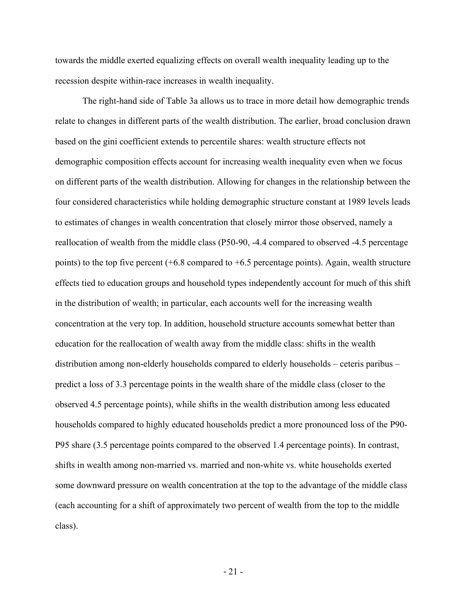towards the middle exerted equalizing effects on overall wealth inequality leading up to the recession despite within-race increases in wealth inequality.

The right-hand side of Table 3a allows us to trace in more detail how demographic trends relate to changes in different parts of the wealth distribution. The earlier, broad conclusion drawn based on the gini coefficient extends to percentile shares: wealth structure effects not demographic composition effects account for increasing wealth inequality even when we focus on different parts of the wealth distribution. Allowing for changes in the relationship between the four considered characteristics while holding demographic structure constant at 1989 levels leads to estimates of changes in wealth concentration that closely mirror those observed, namely a reallocation of wealth from the middle class (P50-90, -4.4 compared to observed -4.5 percentage points) to the top five percent (+6.8 compared to +6.5 percentage points). Again, wealth structure effects tied to education groups and household types independently account for much of this shift in the distribution of wealth; in particular, each accounts well for the increasing wealth concentration at the very top. In addition, household structure accounts somewhat better than education for the reallocation of wealth away from the middle class: shifts in the wealth distribution among non-elderly households compared to elderly households – ceteris paribus – predict a loss of 3.3 percentage points in the wealth share of the middle class (closer to the observed 4.5 percentage points), while shifts in the wealth distribution among less educated households compared to highly educated households predict a more pronounced loss of the P90- P95 share (3.5 percentage points compared to the observed 1.4 percentage points). In contrast, shifts in wealth among non-married vs. married and non-white vs. white households exerted some downward pressure on wealth concentration at the top to the advantage of the middle class (each accounting for a shift of approximately two percent of wealth from the top to the middle class).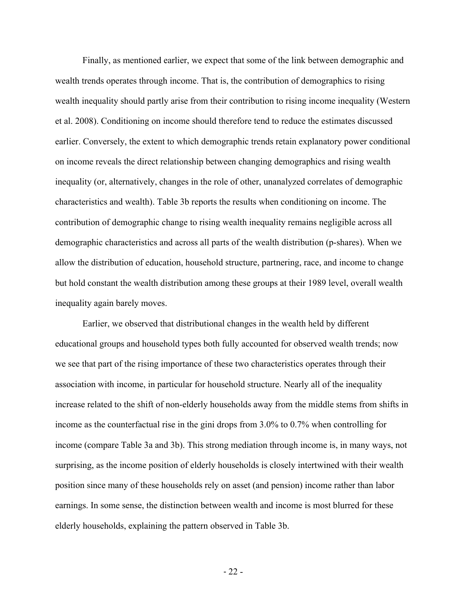Finally, as mentioned earlier, we expect that some of the link between demographic and wealth trends operates through income. That is, the contribution of demographics to rising wealth inequality should partly arise from their contribution to rising income inequality (Western et al. 2008). Conditioning on income should therefore tend to reduce the estimates discussed earlier. Conversely, the extent to which demographic trends retain explanatory power conditional on income reveals the direct relationship between changing demographics and rising wealth inequality (or, alternatively, changes in the role of other, unanalyzed correlates of demographic characteristics and wealth). Table 3b reports the results when conditioning on income. The contribution of demographic change to rising wealth inequality remains negligible across all demographic characteristics and across all parts of the wealth distribution (p-shares). When we allow the distribution of education, household structure, partnering, race, and income to change but hold constant the wealth distribution among these groups at their 1989 level, overall wealth inequality again barely moves.

Earlier, we observed that distributional changes in the wealth held by different educational groups and household types both fully accounted for observed wealth trends; now we see that part of the rising importance of these two characteristics operates through their association with income, in particular for household structure. Nearly all of the inequality increase related to the shift of non-elderly households away from the middle stems from shifts in income as the counterfactual rise in the gini drops from 3.0% to 0.7% when controlling for income (compare Table 3a and 3b). This strong mediation through income is, in many ways, not surprising, as the income position of elderly households is closely intertwined with their wealth position since many of these households rely on asset (and pension) income rather than labor earnings. In some sense, the distinction between wealth and income is most blurred for these elderly households, explaining the pattern observed in Table 3b.

- 22 -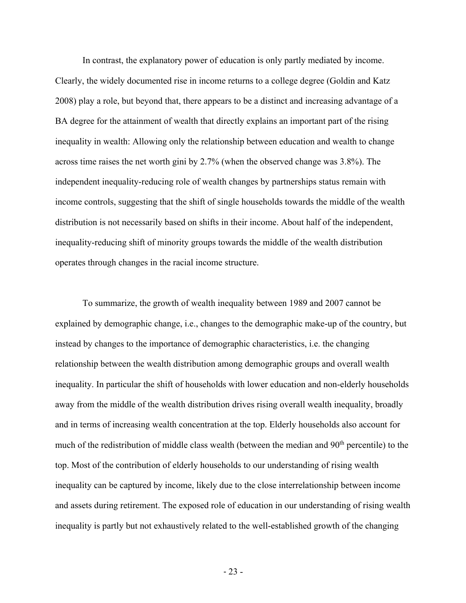In contrast, the explanatory power of education is only partly mediated by income. Clearly, the widely documented rise in income returns to a college degree (Goldin and Katz 2008) play a role, but beyond that, there appears to be a distinct and increasing advantage of a BA degree for the attainment of wealth that directly explains an important part of the rising inequality in wealth: Allowing only the relationship between education and wealth to change across time raises the net worth gini by 2.7% (when the observed change was 3.8%). The independent inequality-reducing role of wealth changes by partnerships status remain with income controls, suggesting that the shift of single households towards the middle of the wealth distribution is not necessarily based on shifts in their income. About half of the independent, inequality-reducing shift of minority groups towards the middle of the wealth distribution operates through changes in the racial income structure.

To summarize, the growth of wealth inequality between 1989 and 2007 cannot be explained by demographic change, i.e., changes to the demographic make-up of the country, but instead by changes to the importance of demographic characteristics, i.e. the changing relationship between the wealth distribution among demographic groups and overall wealth inequality. In particular the shift of households with lower education and non-elderly households away from the middle of the wealth distribution drives rising overall wealth inequality, broadly and in terms of increasing wealth concentration at the top. Elderly households also account for much of the redistribution of middle class wealth (between the median and 90<sup>th</sup> percentile) to the top. Most of the contribution of elderly households to our understanding of rising wealth inequality can be captured by income, likely due to the close interrelationship between income and assets during retirement. The exposed role of education in our understanding of rising wealth inequality is partly but not exhaustively related to the well-established growth of the changing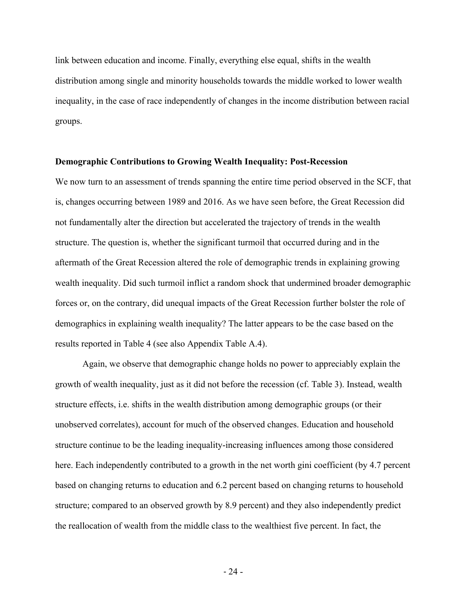link between education and income. Finally, everything else equal, shifts in the wealth distribution among single and minority households towards the middle worked to lower wealth inequality, in the case of race independently of changes in the income distribution between racial groups.

#### **Demographic Contributions to Growing Wealth Inequality: Post-Recession**

We now turn to an assessment of trends spanning the entire time period observed in the SCF, that is, changes occurring between 1989 and 2016. As we have seen before, the Great Recession did not fundamentally alter the direction but accelerated the trajectory of trends in the wealth structure. The question is, whether the significant turmoil that occurred during and in the aftermath of the Great Recession altered the role of demographic trends in explaining growing wealth inequality. Did such turmoil inflict a random shock that undermined broader demographic forces or, on the contrary, did unequal impacts of the Great Recession further bolster the role of demographics in explaining wealth inequality? The latter appears to be the case based on the results reported in Table 4 (see also Appendix Table A.4).

Again, we observe that demographic change holds no power to appreciably explain the growth of wealth inequality, just as it did not before the recession (cf. Table 3). Instead, wealth structure effects, i.e. shifts in the wealth distribution among demographic groups (or their unobserved correlates), account for much of the observed changes. Education and household structure continue to be the leading inequality-increasing influences among those considered here. Each independently contributed to a growth in the net worth gini coefficient (by 4.7 percent based on changing returns to education and 6.2 percent based on changing returns to household structure; compared to an observed growth by 8.9 percent) and they also independently predict the reallocation of wealth from the middle class to the wealthiest five percent. In fact, the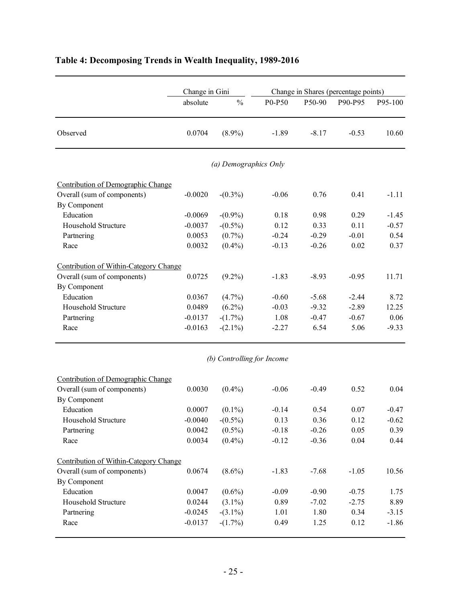|                                             | Change in Gini |                            |         |         | Change in Shares (percentage points) |         |
|---------------------------------------------|----------------|----------------------------|---------|---------|--------------------------------------|---------|
|                                             | absolute       | $\frac{0}{0}$              | P0-P50  | P50-90  | P90-P95                              | P95-100 |
| Observed                                    | 0.0704         | $(8.9\%)$                  | $-1.89$ | $-8.17$ | $-0.53$                              | 10.60   |
|                                             |                | (a) Demographics Only      |         |         |                                      |         |
| Contribution of Demographic Change          |                |                            |         |         |                                      |         |
| Overall (sum of components)<br>By Component | $-0.0020$      | $-(0.3\%)$                 | $-0.06$ | 0.76    | 0.41                                 | $-1.11$ |
| Education                                   | $-0.0069$      | $-(0.9\%)$                 | 0.18    | 0.98    | 0.29                                 | $-1.45$ |
| Household Structure                         | $-0.0037$      | $-(0.5\%)$                 | 0.12    | 0.33    | 0.11                                 | $-0.57$ |
| Partnering                                  | 0.0053         | $(0.7\%)$                  | $-0.24$ | $-0.29$ | $-0.01$                              | 0.54    |
| Race                                        | 0.0032         | $(0.4\%)$                  | $-0.13$ | $-0.26$ | 0.02                                 | 0.37    |
| Contribution of Within-Category Change      |                |                            |         |         |                                      |         |
| Overall (sum of components)                 | 0.0725         | $(9.2\%)$                  | $-1.83$ | $-8.93$ | $-0.95$                              | 11.71   |
| By Component                                |                |                            |         |         |                                      |         |
| Education                                   | 0.0367         | $(4.7\%)$                  | $-0.60$ | $-5.68$ | $-2.44$                              | 8.72    |
| Household Structure                         | 0.0489         | $(6.2\%)$                  | $-0.03$ | $-9.32$ | $-2.89$                              | 12.25   |
| Partnering                                  | $-0.0137$      | $-(1.7%)$                  | 1.08    | $-0.47$ | $-0.67$                              | 0.06    |
| Race                                        | $-0.0163$      | $-(2.1\%)$                 | $-2.27$ | 6.54    | 5.06                                 | $-9.33$ |
|                                             |                | (b) Controlling for Income |         |         |                                      |         |
| Contribution of Demographic Change          |                |                            |         |         |                                      |         |
| Overall (sum of components)                 | 0.0030         | $(0.4\%)$                  | $-0.06$ | $-0.49$ | 0.52                                 | 0.04    |
| By Component                                |                |                            |         |         |                                      |         |
| Education                                   | 0.0007         | $(0.1\%)$                  | $-0.14$ | 0.54    | 0.07                                 | $-0.47$ |
| Household Structure                         | $-0.0040$      | $-(0.5\%)$                 | 0.13    | 0.36    | 0.12                                 | $-0.62$ |
| Partnering                                  | 0.0042         | $(0.5\%)$                  | $-0.18$ | $-0.26$ | 0.05                                 | 0.39    |
| Race                                        | 0.0034         | $(0.4\%)$                  | $-0.12$ | $-0.36$ | 0.04                                 | 0.44    |
| Contribution of Within-Category Change      |                |                            |         |         |                                      |         |
| Overall (sum of components)                 | 0.0674         | $(8.6\%)$                  | $-1.83$ | $-7.68$ | $-1.05$                              | 10.56   |
| By Component                                |                |                            |         |         |                                      |         |
| Education                                   | 0.0047         | $(0.6\%)$                  | $-0.09$ | $-0.90$ | $-0.75$                              | 1.75    |
| Household Structure                         | 0.0244         | $(3.1\%)$                  | 0.89    | $-7.02$ | $-2.75$                              | 8.89    |
| Partnering                                  | $-0.0245$      | $-(3.1\%)$                 | 1.01    | 1.80    | 0.34                                 | $-3.15$ |
| Race                                        | $-0.0137$      | $-(1.7%)$                  | 0.49    | 1.25    | 0.12                                 | $-1.86$ |

## **Table 4: Decomposing Trends in Wealth Inequality, 1989-2016**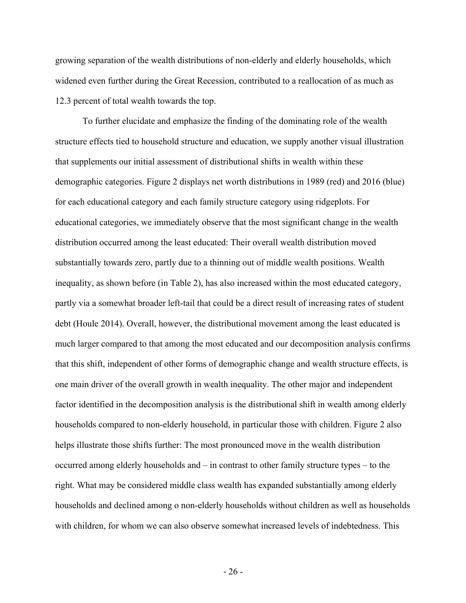growing separation of the wealth distributions of non-elderly and elderly households, which widened even further during the Great Recession, contributed to a reallocation of as much as 12.3 percent of total wealth towards the top.

To further elucidate and emphasize the finding of the dominating role of the wealth structure effects tied to household structure and education, we supply another visual illustration that supplements our initial assessment of distributional shifts in wealth within these demographic categories. Figure 2 displays net worth distributions in 1989 (red) and 2016 (blue) for each educational category and each family structure category using ridgeplots. For educational categories, we immediately observe that the most significant change in the wealth distribution occurred among the least educated: Their overall wealth distribution moved substantially towards zero, partly due to a thinning out of middle wealth positions. Wealth inequality, as shown before (in Table 2), has also increased within the most educated category, partly via a somewhat broader left-tail that could be a direct result of increasing rates of student debt (Houle 2014). Overall, however, the distributional movement among the least educated is much larger compared to that among the most educated and our decomposition analysis confirms that this shift, independent of other forms of demographic change and wealth structure effects, is one main driver of the overall growth in wealth inequality. The other major and independent factor identified in the decomposition analysis is the distributional shift in wealth among elderly households compared to non-elderly household, in particular those with children. Figure 2 also helps illustrate those shifts further: The most pronounced move in the wealth distribution occurred among elderly households and – in contrast to other family structure types – to the right. What may be considered middle class wealth has expanded substantially among elderly households and declined among o non-elderly households without children as well as households with children, for whom we can also observe somewhat increased levels of indebtedness. This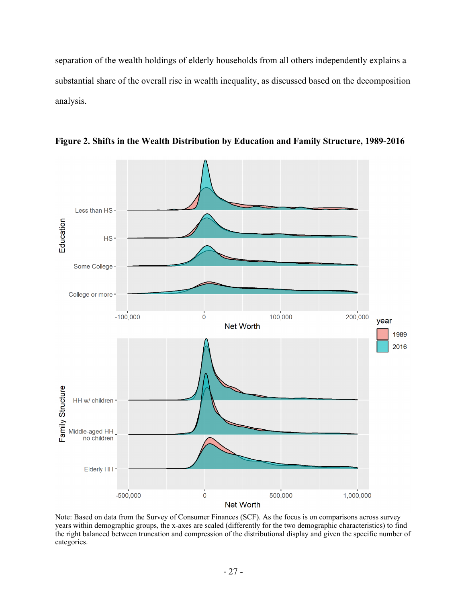separation of the wealth holdings of elderly households from all others independently explains a substantial share of the overall rise in wealth inequality, as discussed based on the decomposition analysis.



**Figure 2. Shifts in the Wealth Distribution by Education and Family Structure, 1989-2016**

Note: Based on data from the Survey of Consumer Finances (SCF). As the focus is on comparisons across survey years within demographic groups, the x-axes are scaled (differently for the two demographic characteristics) to find the right balanced between truncation and compression of the distributional display and given the specific number of categories.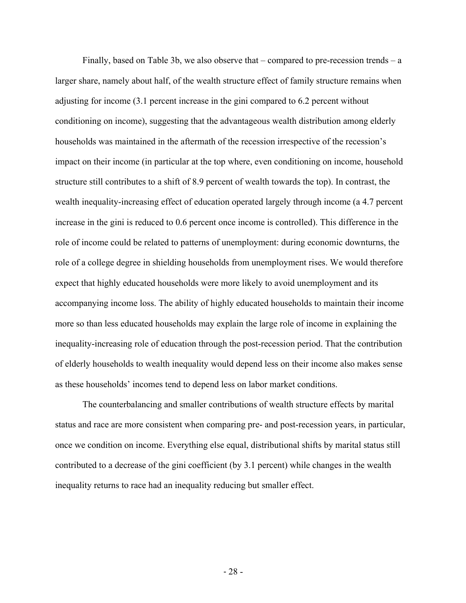Finally, based on Table 3b, we also observe that – compared to pre-recession trends – a larger share, namely about half, of the wealth structure effect of family structure remains when adjusting for income (3.1 percent increase in the gini compared to 6.2 percent without conditioning on income), suggesting that the advantageous wealth distribution among elderly households was maintained in the aftermath of the recession irrespective of the recession's impact on their income (in particular at the top where, even conditioning on income, household structure still contributes to a shift of 8.9 percent of wealth towards the top). In contrast, the wealth inequality-increasing effect of education operated largely through income (a 4.7 percent increase in the gini is reduced to 0.6 percent once income is controlled). This difference in the role of income could be related to patterns of unemployment: during economic downturns, the role of a college degree in shielding households from unemployment rises. We would therefore expect that highly educated households were more likely to avoid unemployment and its accompanying income loss. The ability of highly educated households to maintain their income more so than less educated households may explain the large role of income in explaining the inequality-increasing role of education through the post-recession period. That the contribution of elderly households to wealth inequality would depend less on their income also makes sense as these households' incomes tend to depend less on labor market conditions.

The counterbalancing and smaller contributions of wealth structure effects by marital status and race are more consistent when comparing pre- and post-recession years, in particular, once we condition on income. Everything else equal, distributional shifts by marital status still contributed to a decrease of the gini coefficient (by 3.1 percent) while changes in the wealth inequality returns to race had an inequality reducing but smaller effect.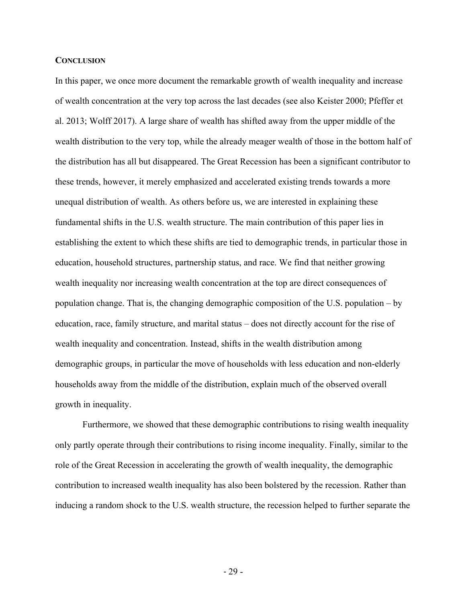#### **CONCLUSION**

In this paper, we once more document the remarkable growth of wealth inequality and increase of wealth concentration at the very top across the last decades (see also Keister 2000; Pfeffer et al. 2013; Wolff 2017). A large share of wealth has shifted away from the upper middle of the wealth distribution to the very top, while the already meager wealth of those in the bottom half of the distribution has all but disappeared. The Great Recession has been a significant contributor to these trends, however, it merely emphasized and accelerated existing trends towards a more unequal distribution of wealth. As others before us, we are interested in explaining these fundamental shifts in the U.S. wealth structure. The main contribution of this paper lies in establishing the extent to which these shifts are tied to demographic trends, in particular those in education, household structures, partnership status, and race. We find that neither growing wealth inequality nor increasing wealth concentration at the top are direct consequences of population change. That is, the changing demographic composition of the U.S. population – by education, race, family structure, and marital status – does not directly account for the rise of wealth inequality and concentration. Instead, shifts in the wealth distribution among demographic groups, in particular the move of households with less education and non-elderly households away from the middle of the distribution, explain much of the observed overall growth in inequality.

Furthermore, we showed that these demographic contributions to rising wealth inequality only partly operate through their contributions to rising income inequality. Finally, similar to the role of the Great Recession in accelerating the growth of wealth inequality, the demographic contribution to increased wealth inequality has also been bolstered by the recession. Rather than inducing a random shock to the U.S. wealth structure, the recession helped to further separate the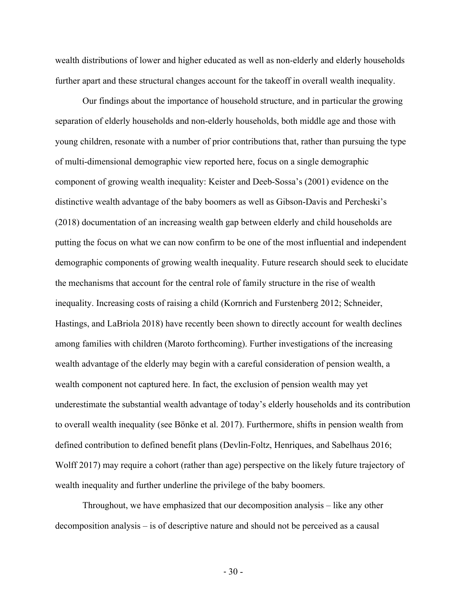wealth distributions of lower and higher educated as well as non-elderly and elderly households further apart and these structural changes account for the takeoff in overall wealth inequality.

Our findings about the importance of household structure, and in particular the growing separation of elderly households and non-elderly households, both middle age and those with young children, resonate with a number of prior contributions that, rather than pursuing the type of multi-dimensional demographic view reported here, focus on a single demographic component of growing wealth inequality: Keister and Deeb-Sossa's (2001) evidence on the distinctive wealth advantage of the baby boomers as well as Gibson-Davis and Percheski's (2018) documentation of an increasing wealth gap between elderly and child households are putting the focus on what we can now confirm to be one of the most influential and independent demographic components of growing wealth inequality. Future research should seek to elucidate the mechanisms that account for the central role of family structure in the rise of wealth inequality. Increasing costs of raising a child (Kornrich and Furstenberg 2012; Schneider, Hastings, and LaBriola 2018) have recently been shown to directly account for wealth declines among families with children (Maroto forthcoming). Further investigations of the increasing wealth advantage of the elderly may begin with a careful consideration of pension wealth, a wealth component not captured here. In fact, the exclusion of pension wealth may yet underestimate the substantial wealth advantage of today's elderly households and its contribution to overall wealth inequality (see Bönke et al. 2017). Furthermore, shifts in pension wealth from defined contribution to defined benefit plans (Devlin-Foltz, Henriques, and Sabelhaus 2016; Wolff 2017) may require a cohort (rather than age) perspective on the likely future trajectory of wealth inequality and further underline the privilege of the baby boomers.

Throughout, we have emphasized that our decomposition analysis – like any other decomposition analysis – is of descriptive nature and should not be perceived as a causal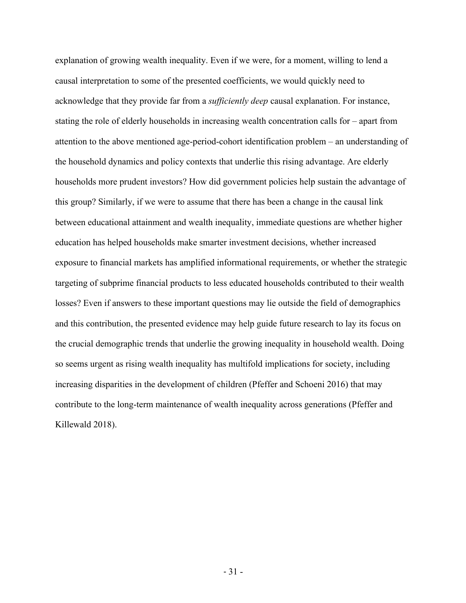explanation of growing wealth inequality. Even if we were, for a moment, willing to lend a causal interpretation to some of the presented coefficients, we would quickly need to acknowledge that they provide far from a *sufficiently deep* causal explanation. For instance, stating the role of elderly households in increasing wealth concentration calls for – apart from attention to the above mentioned age-period-cohort identification problem – an understanding of the household dynamics and policy contexts that underlie this rising advantage. Are elderly households more prudent investors? How did government policies help sustain the advantage of this group? Similarly, if we were to assume that there has been a change in the causal link between educational attainment and wealth inequality, immediate questions are whether higher education has helped households make smarter investment decisions, whether increased exposure to financial markets has amplified informational requirements, or whether the strategic targeting of subprime financial products to less educated households contributed to their wealth losses? Even if answers to these important questions may lie outside the field of demographics and this contribution, the presented evidence may help guide future research to lay its focus on the crucial demographic trends that underlie the growing inequality in household wealth. Doing so seems urgent as rising wealth inequality has multifold implications for society, including increasing disparities in the development of children (Pfeffer and Schoeni 2016) that may contribute to the long-term maintenance of wealth inequality across generations (Pfeffer and Killewald 2018).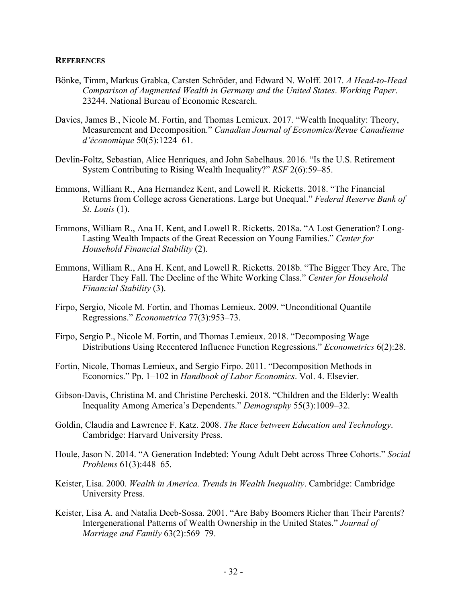#### **REFERENCES**

- Bönke, Timm, Markus Grabka, Carsten Schröder, and Edward N. Wolff. 2017. *A Head-to-Head Comparison of Augmented Wealth in Germany and the United States*. *Working Paper*. 23244. National Bureau of Economic Research.
- Davies, James B., Nicole M. Fortin, and Thomas Lemieux. 2017. "Wealth Inequality: Theory, Measurement and Decomposition." *Canadian Journal of Economics/Revue Canadienne d'économique* 50(5):1224–61.
- Devlin-Foltz, Sebastian, Alice Henriques, and John Sabelhaus. 2016. "Is the U.S. Retirement System Contributing to Rising Wealth Inequality?" *RSF* 2(6):59–85.
- Emmons, William R., Ana Hernandez Kent, and Lowell R. Ricketts. 2018. "The Financial Returns from College across Generations. Large but Unequal." *Federal Reserve Bank of St. Louis* (1).
- Emmons, William R., Ana H. Kent, and Lowell R. Ricketts. 2018a. "A Lost Generation? Long-Lasting Wealth Impacts of the Great Recession on Young Families." *Center for Household Financial Stability* (2).
- Emmons, William R., Ana H. Kent, and Lowell R. Ricketts. 2018b. "The Bigger They Are, The Harder They Fall. The Decline of the White Working Class." *Center for Household Financial Stability* (3).
- Firpo, Sergio, Nicole M. Fortin, and Thomas Lemieux. 2009. "Unconditional Quantile Regressions." *Econometrica* 77(3):953–73.
- Firpo, Sergio P., Nicole M. Fortin, and Thomas Lemieux. 2018. "Decomposing Wage Distributions Using Recentered Influence Function Regressions." *Econometrics* 6(2):28.
- Fortin, Nicole, Thomas Lemieux, and Sergio Firpo. 2011. "Decomposition Methods in Economics." Pp. 1–102 in *Handbook of Labor Economics*. Vol. 4. Elsevier.
- Gibson-Davis, Christina M. and Christine Percheski. 2018. "Children and the Elderly: Wealth Inequality Among America's Dependents." *Demography* 55(3):1009–32.
- Goldin, Claudia and Lawrence F. Katz. 2008. *The Race between Education and Technology*. Cambridge: Harvard University Press.
- Houle, Jason N. 2014. "A Generation Indebted: Young Adult Debt across Three Cohorts." *Social Problems* 61(3):448–65.
- Keister, Lisa. 2000. *Wealth in America. Trends in Wealth Inequality*. Cambridge: Cambridge University Press.
- Keister, Lisa A. and Natalia Deeb-Sossa. 2001. "Are Baby Boomers Richer than Their Parents? Intergenerational Patterns of Wealth Ownership in the United States." *Journal of Marriage and Family* 63(2):569–79.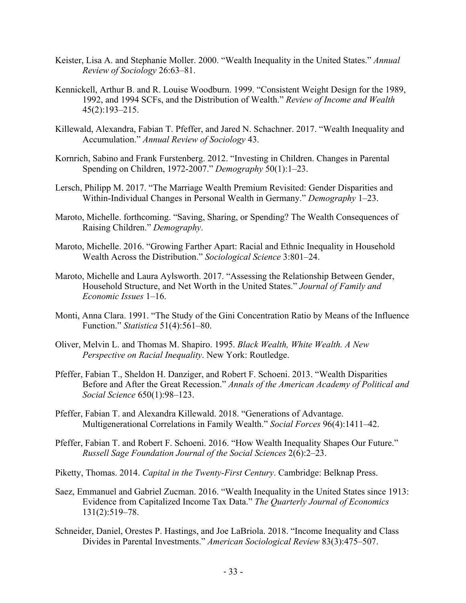- Keister, Lisa A. and Stephanie Moller. 2000. "Wealth Inequality in the United States." *Annual Review of Sociology* 26:63–81.
- Kennickell, Arthur B. and R. Louise Woodburn. 1999. "Consistent Weight Design for the 1989, 1992, and 1994 SCFs, and the Distribution of Wealth." *Review of Income and Wealth* 45(2):193–215.
- Killewald, Alexandra, Fabian T. Pfeffer, and Jared N. Schachner. 2017. "Wealth Inequality and Accumulation." *Annual Review of Sociology* 43.
- Kornrich, Sabino and Frank Furstenberg. 2012. "Investing in Children. Changes in Parental Spending on Children, 1972-2007." *Demography* 50(1):1–23.
- Lersch, Philipp M. 2017. "The Marriage Wealth Premium Revisited: Gender Disparities and Within-Individual Changes in Personal Wealth in Germany." *Demography* 1–23.
- Maroto, Michelle. forthcoming. "Saving, Sharing, or Spending? The Wealth Consequences of Raising Children." *Demography*.
- Maroto, Michelle. 2016. "Growing Farther Apart: Racial and Ethnic Inequality in Household Wealth Across the Distribution." *Sociological Science* 3:801–24.
- Maroto, Michelle and Laura Aylsworth. 2017. "Assessing the Relationship Between Gender, Household Structure, and Net Worth in the United States." *Journal of Family and Economic Issues* 1–16.
- Monti, Anna Clara. 1991. "The Study of the Gini Concentration Ratio by Means of the Influence Function." *Statistica* 51(4):561–80.
- Oliver, Melvin L. and Thomas M. Shapiro. 1995. *Black Wealth, White Wealth. A New Perspective on Racial Inequality*. New York: Routledge.
- Pfeffer, Fabian T., Sheldon H. Danziger, and Robert F. Schoeni. 2013. "Wealth Disparities Before and After the Great Recession." *Annals of the American Academy of Political and Social Science* 650(1):98–123.
- Pfeffer, Fabian T. and Alexandra Killewald. 2018. "Generations of Advantage. Multigenerational Correlations in Family Wealth." *Social Forces* 96(4):1411–42.
- Pfeffer, Fabian T. and Robert F. Schoeni. 2016. "How Wealth Inequality Shapes Our Future." *Russell Sage Foundation Journal of the Social Sciences* 2(6):2–23.
- Piketty, Thomas. 2014. *Capital in the Twenty-First Century*. Cambridge: Belknap Press.
- Saez, Emmanuel and Gabriel Zucman. 2016. "Wealth Inequality in the United States since 1913: Evidence from Capitalized Income Tax Data." *The Quarterly Journal of Economics* 131(2):519–78.
- Schneider, Daniel, Orestes P. Hastings, and Joe LaBriola. 2018. "Income Inequality and Class Divides in Parental Investments." *American Sociological Review* 83(3):475–507.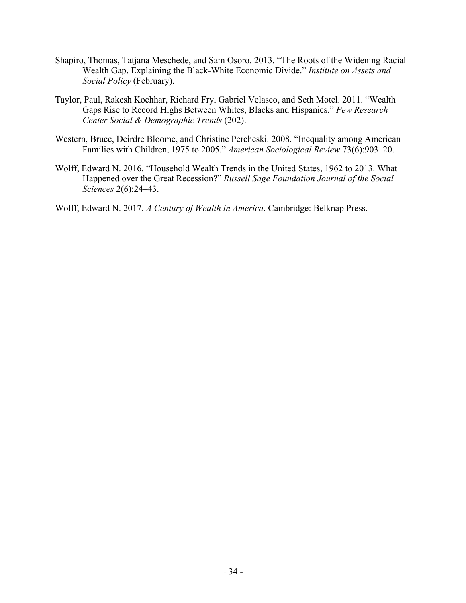- Shapiro, Thomas, Tatjana Meschede, and Sam Osoro. 2013. "The Roots of the Widening Racial Wealth Gap. Explaining the Black-White Economic Divide." *Institute on Assets and Social Policy* (February).
- Taylor, Paul, Rakesh Kochhar, Richard Fry, Gabriel Velasco, and Seth Motel. 2011. "Wealth Gaps Rise to Record Highs Between Whites, Blacks and Hispanics." *Pew Research Center Social & Demographic Trends* (202).
- Western, Bruce, Deirdre Bloome, and Christine Percheski. 2008. "Inequality among American Families with Children, 1975 to 2005." *American Sociological Review* 73(6):903–20.
- Wolff, Edward N. 2016. "Household Wealth Trends in the United States, 1962 to 2013. What Happened over the Great Recession?" *Russell Sage Foundation Journal of the Social Sciences* 2(6):24–43.

Wolff, Edward N. 2017. *A Century of Wealth in America*. Cambridge: Belknap Press.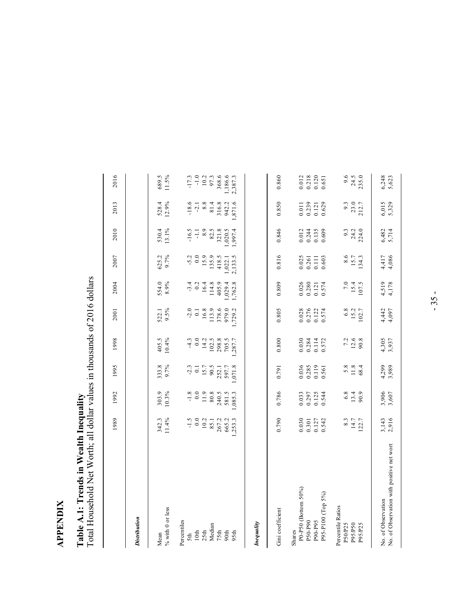# **APPENDIX APPENDIX**

# Table A.1: Trends in Wealth Inequality<br>Total Household Net Worth; all dollar values in thousands of 2016 dollars Total Household Net Worth; all dollar values in thousands of 2016 dollars **Table A.1: Trends in Wealth Inequality**

|                                                                          | 1989                                                            | 1992                             | 1995                             | 1998                             | 2001                             | 2004                             | 2007                                                            | 2010                              | 2013                             | 2016                                                            |
|--------------------------------------------------------------------------|-----------------------------------------------------------------|----------------------------------|----------------------------------|----------------------------------|----------------------------------|----------------------------------|-----------------------------------------------------------------|-----------------------------------|----------------------------------|-----------------------------------------------------------------|
| <b>Distribution</b>                                                      |                                                                 |                                  |                                  |                                  |                                  |                                  |                                                                 |                                   |                                  |                                                                 |
| $\%$ with 0 or less<br>Mean                                              | 342.3<br>11.4%                                                  | 10.3%<br>303.9                   | 333.8                            | 405.5<br>10.4%                   | 522.1<br>9.5%                    | 8.9%<br>554.0                    | 625.2<br>9.7%                                                   | 530.4<br>13.1%                    | 528.4<br>12.9%                   | 689.5<br>11.5%                                                  |
| Percentiles<br>5th                                                       | $-1.5$                                                          | $-1.8$<br>0.0                    | $-2.3$                           | $-4.3$                           | $-2.0$                           | $-3.4$                           | $-5.2$                                                          | $-16.5$                           | $-18.6$                          | $-17.3$                                                         |
| 25th<br>$10th$                                                           | 0.0<br>10.2                                                     | $11.9\,$                         | $15.7$<br>$\overline{c}$         | 0.0<br>14.2                      | $\overline{0}$ .                 | 0.2<br>16.4                      | 0.0<br>15.9                                                     | 8.9<br>$\Xi$                      | $-2.1$<br>8.8                    | $10.2\,$                                                        |
| Median<br>75th                                                           | 267.2<br>85.1                                                   | 80.8<br>240.5                    | 90.5<br>252.1                    | 102.5<br>298.8                   | 378.6<br>16.8<br>113.9           | 405.9<br>114.8                   | 135.9<br>418.5                                                  | 82.5<br>321.8                     | 81.4                             | 97.3<br>368.6                                                   |
| 90th<br>95th                                                             | 665.2<br>,253.3                                                 | 581.5<br>1,085.3                 | 1,071.8<br>597.7                 | 705.5<br>.287.7                  | 979.0<br>1,729.2                 | 1,762.8<br>,029.4                | 2,133.5<br>1,022.1                                              | 1,997.4<br>1,020.5                | 316.8<br>942.2<br>1,871.6        | 1,186.6<br>2,387.3                                              |
| Inequality                                                               |                                                                 |                                  |                                  |                                  |                                  |                                  |                                                                 |                                   |                                  |                                                                 |
| Gini coefficient                                                         | 0.790                                                           | 0.786                            | 0.791                            | 0.800                            | 0.805                            | 0.809                            | 0.816                                                           | 0.846                             | 0.850                            | 0.860                                                           |
| P0-P50 (Bottom 50%)<br>P95-P100 (Top 5%)<br>P50-P90<br>P90-P95<br>Shares | 0.030<br>$\begin{array}{c} 0.301 \\ 0.127 \\ 0.542 \end{array}$ | 0.033<br>0.297<br>0.125<br>0.544 | 0.036<br>0.285<br>0.119<br>0.561 | 0.030<br>0.284<br>0.114<br>0.572 | 0.276<br>0.122<br>0.574<br>0.028 | 0.026<br>0.280<br>0.574<br>0.121 | $\begin{array}{c} 0.025 \\ 0.261 \\ 0.111 \end{array}$<br>0.603 | 0.012<br>0.244<br>0.135<br>0.609  | 0.239<br>0.121<br>0.629<br>0.011 | $\begin{array}{c} 0.012 \\ 0.218 \\ 0.120 \end{array}$<br>0.651 |
| Percentile Ratios<br>P50/P25<br>P95/P50<br>P95/P25                       | 8.3<br>$14.7$<br>122.7                                          | $6.\overline{8}$<br>13.4<br>90.9 | $5.8$<br>11.8<br>68.4            | 7.2<br>$12.6$<br>90.8            | $6.8\,$<br>$15.2\,$<br>102.7     | 7.0<br>15.4<br>107.5             | $8.6$<br>15.7<br>134.3                                          | $9.\overline{3}$<br>24.2<br>224.0 | $9.3$<br>$23.0$<br>$212.7$       | 9.6<br>24.5<br>235.0                                            |
| No. of Observation with positive net wort<br>No. of Observation          | 3,143<br>2,916                                                  | 3,906<br>3,607                   | 4,299<br>3,989                   | 4,305<br>3,937                   | 4,442<br>4,097                   | 4,519<br>4,178                   | 4,417<br>4,086                                                  | 6,482<br>5,714                    | 6,015<br>5,329                   | 6,248<br>5,623                                                  |

- 35 -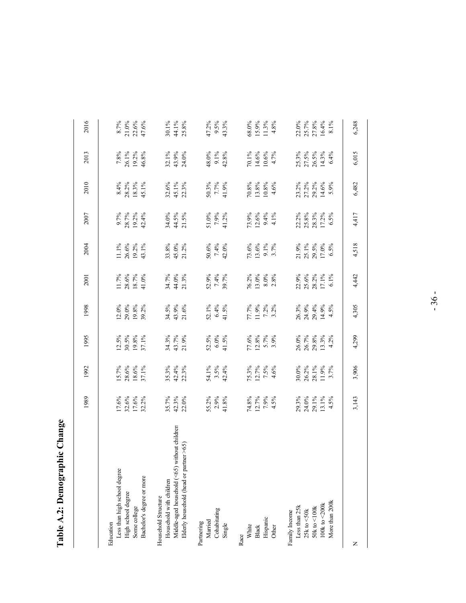| $\mathbf{u}_{\mathbf{q} \mathbf{n} \mathbf{q} \mathbf{r} \mathbf{q}}$ |
|-----------------------------------------------------------------------|
| monan<br>ć                                                            |
| Table                                                                 |

|                                                                                                                                           | 1989                                     | 1992                                    | 1995                                                                | 1998                                         | 2001                                                                | 2004                             | 2007                                     | 2010                                     | 2013                                     | 2016                                                               |
|-------------------------------------------------------------------------------------------------------------------------------------------|------------------------------------------|-----------------------------------------|---------------------------------------------------------------------|----------------------------------------------|---------------------------------------------------------------------|----------------------------------|------------------------------------------|------------------------------------------|------------------------------------------|--------------------------------------------------------------------|
| Less than high school degree<br>Bachelor's degree or more<br>High school degree<br>Some college<br>Education                              | 17.6%<br>32.6%<br>17.6%<br>32.2%         | $\frac{15.7\%}{28.6\%}\atop 18.6\%$     | $\begin{array}{c} 12.5\% \\ 30.5\% \\ 19.8\% \\ 37.1\% \end{array}$ | $12.0\%$<br>$29.0\%$<br>$19.8\%$<br>$39.2\%$ | $\begin{array}{l} 11.7\% \\ 28.6\% \\ 18.7\% \\ 41.0\% \end{array}$ | 11.1%<br>26.6%<br>19.2%<br>43.1% | $9.7%$<br>28.7%<br>19.2%<br>42.4%        | $8.4%$<br>$28.2%$<br>$18.3%$<br>$45.1%$  | 7.8%<br>26.1%<br>19.2%<br>46.8%          | $\begin{array}{l} 8.7\% \\ 21.0\% \\ 22.6\% \\ 47.6\% \end{array}$ |
| Middle-aged household (<65) without children<br>Elderly household (head or partner >65)<br>Household with children<br>Household Structure | 35.7%<br>42.3%<br>22.0%                  | 35.3%<br>42.4%<br>22.3%                 | 34.3%<br>43.7%<br>21.9%                                             | $34.5\%$<br>$43.9\%$<br>$21.6\%$             | 34.7%<br>44.0%<br>21.3%                                             | 33.8%<br>45.0%<br>21.2%          | 34.0%<br>44.5%<br>21.5%                  | 32.6%<br>45.1%<br>22.3%                  | 32.1%<br>43.9%<br>24.0%                  | 30.1%<br>44.1%<br>25.8%                                            |
| Cohabitating<br>Married<br>Partnering<br>Single                                                                                           | 55.2%<br>2.9%<br>41.8%                   | 54.1%<br>3.5%<br>42.4%                  | $52.5\%$<br>6.0%<br>41.5%                                           | $52.1\%$<br>$6.4\%$<br>$41.5\%$              | 52.9%<br>7.4%<br>39.7%                                              | 50.6%<br>7.4%<br>42.0%           | 51.0%<br>7.9%<br>41.2%                   | 50.3%<br>7.7%<br>41.9%                   | 48.0%<br>9.1%<br>42.8%                   | 47.2%<br>9.5%<br>43.3%                                             |
| Hispanic<br>Other<br>White<br>Black<br>Race                                                                                               | $74.8%$<br>12.7%<br>12.9%<br>4.5%        | $75.3%$<br>12.7%<br>14.6%               | 77.6%<br>12.8%<br>5.7%<br>3.9%                                      | 77.7%<br>11.9%<br>7.2%<br>3.2%               | 76.2%<br>13.0%<br>8.0%<br>2.8%                                      | $73.6%$<br>13.6%<br>9.1%<br>3.7% | $73.9%$<br>12.6%<br>12.9 %               | 4.6%<br>$\frac{70.8\%}{13.8\%}$          | 14.6%<br>4.7%<br>70.1%<br>10.6%          | 68.0%<br>15.9%<br>11.3%<br>4.8%                                    |
| More than 200k<br>$100k$ to $<\!\!200k$<br>Less than 25k<br>$50k$ to $< 100k$<br>$25\mathrm{k}$ to $<\!\!50\mathrm{k}$<br>Family Income   | 29.3%<br>24.0%<br>29.1%<br>13.1%<br>4.5% | 30.0%<br>26.2%<br>28.1%<br>11.9%<br>17% | 26.0%<br>26.7%<br>29.8%<br>13.3%<br>4.2%                            | 26.3%<br>24.9%<br>29.4%<br>14.5%             | 22.9%<br>25.6%<br>28.2%<br>17.1%<br>6.1%                            | 21.9%<br>25.1%<br>29.5%<br>17.0% | 22.2%<br>25.8%<br>28.3%<br>17.2%<br>6.5% | 23.2%<br>27.2%<br>29.2%<br>14.6%<br>5.9% | 25.3%<br>27.5%<br>26.5%<br>14.3%<br>6.4% | $22.0%$<br>$25.7%$<br>$27.8%$<br>$16.4%$<br>8.1%                   |
| z                                                                                                                                         | 3,143                                    | 3,906                                   | 4,299                                                               | 4,305                                        | 4,442                                                               | 4,518                            | 4,417                                    | 6,482                                    | 6,015                                    | 6,248                                                              |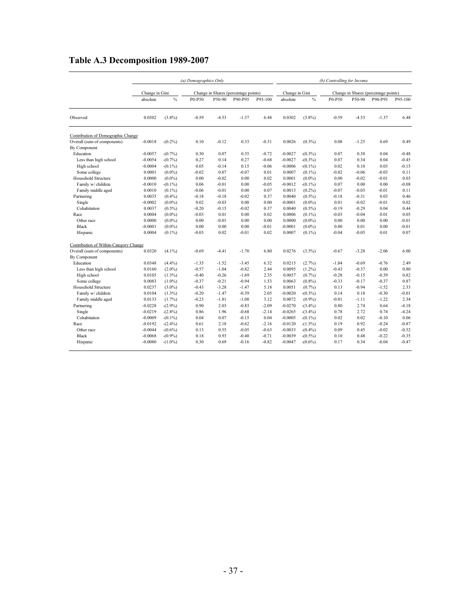#### **Table A.3 Decomposition 1989-2007**

|                                        |                |            | (a) Demographics Only |         |                                      |         |                |               | (b) Controlling for Income |         |                                      |         |
|----------------------------------------|----------------|------------|-----------------------|---------|--------------------------------------|---------|----------------|---------------|----------------------------|---------|--------------------------------------|---------|
|                                        | Change in Gini |            |                       |         | Change in Shares (percentage points) |         | Change in Gini |               |                            |         | Change in Shares (percentage points) |         |
|                                        | absolute       | $\%$       | P0-P50                | P50-90  | P90-P95                              | P95-100 | absolute       | $\frac{0}{0}$ | P0-P50                     | P50-90  | P90-P95                              | P95-100 |
| Observed                               | 0.0302         | $(3.8\%)$  | $-0.59$               | $-4.53$ | $-1.37$                              | 6.48    | 0.0302         | $(3.8\%)$     | $-0.59$                    | $-4.53$ | $-1.37$                              | 6.48    |
| Contribution of Demographic Change     |                |            |                       |         |                                      |         |                |               |                            |         |                                      |         |
| Overall (sum of components)            | $-0.0018$      | $-(0.2\%)$ | 0.10                  | $-0.12$ | 0.33                                 | $-0.31$ | 0.0026         | $(0.3\%)$     | 0.08                       | $-1.25$ | 0.69                                 | 0.49    |
| By Component                           |                |            |                       |         |                                      |         |                |               |                            |         |                                      |         |
| Education                              | $-0.0057$      | $-(0.7\%)$ | 0.30                  | 0.07    | 0.35                                 | $-0.72$ | $-0.0027$      | $-(0.3\%)$    | 0.07                       | 0.38    | 0.04                                 | $-0.48$ |
| Less than high school                  | $-0.0054$      | $-(0.7\%)$ | 0.27                  | 0.14    | 0.27                                 | $-0.68$ | $-0.0027$      | $-(0.3\%)$    | 0.07                       | 0.34    | 0.04                                 | $-0.45$ |
| High school                            | $-0.0004$      | $-(0.1\%)$ | 0.05                  | $-0.14$ | 0.15                                 | $-0.06$ | $-0.0006$      | $-(0.1\%)$    | 0.02                       | 0.10    | 0.03                                 | $-0.15$ |
| Some college                           | 0.0001         | $(0.0\%)$  | $-0.02$               | 0.07    | $-0.07$                              | 0.01    | 0.0007         | $(0.1\%)$     | $-0.02$                    | $-0.06$ | $-0.03$                              | 0.11    |
| Household Structure                    | 0.0000         | $(0.0\%)$  | 0.00                  | $-0.02$ | 0.00                                 | 0.02    | 0.0001         | $(0.0\%)$     | 0.00                       | $-0.02$ | $-0.01$                              | 0.03    |
| Family w/ children                     | $-0.0010$      | $-(0.1\%)$ | 0.06                  | $-0.01$ | 0.00                                 | $-0.05$ | $-0.0012$      | $-(0.1\%)$    | 0.07                       | 0.00    | 0.00                                 | $-0.08$ |
| Family middle aged                     | 0.0010         | $(0.1\%)$  | $-0.06$               | $-0.01$ | 0.00                                 | 0.07    | 0.0013         | $(0.2\%)$     | $-0.07$                    | $-0.03$ | $-0.01$                              | 0.11    |
| Partnering                             | 0.0035         | $(0.4\%)$  | $-0.18$               | $-0.18$ | $-0.02$                              | 0.37    | 0.0040         | $(0.5\%)$     | $-0.18$                    | $-0.31$ | 0.03                                 | 0.46    |
| Single                                 | $-0.0002$      | $(0.0\%)$  | 0.02                  | $-0.03$ | 0.00                                 | 0.00    | $-0.0001$      | $(0.0\%)$     | 0.01                       | $-0.02$ | $-0.01$                              | 0.02    |
| Cohabitation                           | 0.0037         | $(0.5\%)$  | $-0.20$               | $-0.15$ | $-0.02$                              | 0.37    | 0.0040         | $(0.5\%)$     | $-0.19$                    | $-0.29$ | 0.04                                 | 0.44    |
| Race                                   | 0.0004         | $(0.0\%)$  | $-0.03$               | 0.01    | 0.00                                 | 0.02    | 0.0006         | $(0.1\%)$     | $-0.03$                    | $-0.04$ | 0.01                                 | 0.05    |
| Other race                             | 0.0000         | $(0.0\%)$  | 0.00                  | $-0.01$ | 0.00                                 | 0.00    | 0.0000         | $(0.0\%)$     | 0.00                       | 0.00    | 0.00                                 | $-0.01$ |
| <b>Black</b>                           | $-0.0001$      | $(0.0\%)$  | 0.00                  | 0.00    | 0.00                                 | $-0.01$ | $-0.0001$      | $(0.0\%)$     | 0.00                       | 0.01    | 0.00                                 | $-0.01$ |
| Hispanic                               | 0.0004         | $(0.1\%)$  | $-0.03$               | 0.02    | $-0.01$                              | 0.02    | 0.0007         | $(0.1\%)$     | $-0.04$                    | $-0.05$ | 0.01                                 | 0.07    |
| Contribution of Within-Category Change |                |            |                       |         |                                      |         |                |               |                            |         |                                      |         |
| Overall (sum of components)            | 0.0320         | $(4.1\%)$  | $-0.69$               | $-4.41$ | $-1.70$                              | 6.80    | 0.0276         | $(3.5\%)$     | $-0.67$                    | $-3.28$ | $-2.06$                              | 6.00    |
| By Component                           |                |            |                       |         |                                      |         |                |               |                            |         |                                      |         |
| Education                              | 0.0348         | $(4.4\%)$  | $-1.35$               | $-1.52$ | $-3.45$                              | 6.32    | 0.0215         | $(2.7\%)$     | $-1.04$                    | $-0.69$ | $-0.76$                              | 2.49    |
| Less than high school                  | 0.0160         | $(2.0\%)$  | $-0.57$               | $-1.04$ | $-0.82$                              | 2.44    | 0.0095         | $(1.2\%)$     | $-0.43$                    | $-0.37$ | 0.00                                 | 0.80    |
| High school                            | 0.0105         | $(1.3\%)$  | $-0.40$               | $-0.26$ | $-1.69$                              | 2.35    | 0.0057         | $(0.7\%)$     | $-0.28$                    | $-0.15$ | $-0.39$                              | 0.82    |
| Some college                           | 0.0083         | $(1.0\%)$  | $-0.37$               | $-0.21$ | $-0.94$                              | 1.53    | 0.0063         | $(0.8\%)$     | $-0.33$                    | $-0.17$ | $-0.37$                              | 0.87    |
| Household Structure                    | 0.0237         | $(3.0\%)$  | $-0.43$               | $-3.28$ | $-1.47$                              | 5.18    | 0.0051         | $(0.7\%)$     | 0.13                       | $-0.94$ | $-1.52$                              | 2.33    |
| Family w/ children                     | 0.0104         | $(1.3\%)$  | $-0.20$               | $-1.47$ | $-0.39$                              | 2.05    | $-0.0020$      | $-(0.3\%)$    | 0.14                       | 0.18    | $-0.30$                              | $-0.01$ |
| Family middle aged                     | 0.0133         | $(1.7\%)$  | $-0.23$               | $-1.81$ | $-1.08$                              | 3.12    | 0.0072         | $(0.9\%)$     | $-0.01$                    | $-1.11$ | $-1.22$                              | 2.34    |
| Partnering                             | $-0.0228$      | $-(2.9\%)$ | 0.90                  | 2.03    | $-0.83$                              | $-2.09$ | $-0.0270$      | $-(3.4\%)$    | 0.80                       | 2.74    | 0.64                                 | $-4.18$ |
| Single                                 | $-0.0219$      | $-(2.8\%)$ | 0.86                  | 1.96    | $-0.68$                              | $-2.14$ | $-0.0265$      | $-(3.4\%)$    | 0.78                       | 2.72    | 0.74                                 | $-4.24$ |
| Cohabitation                           | $-0.0009$      | $-(0.1\%)$ | 0.04                  | 0.07    | $-0.15$                              | 0.04    | $-0.0005$      | $-(0.1\%)$    | 0.02                       | 0.02    | $-0.10$                              | 0.06    |
| Race                                   | $-0.0192$      | $-(2.4\%)$ | 0.61                  | 2.18    | $-0.62$                              | $-2.16$ | $-0.0120$      | $-(1.5%)$     | 0.19                       | 0.92    | $-0.24$                              | $-0.87$ |
| Other race                             | $-0.0044$      | $-(0.6\%)$ | 0.13                  | 0.55    | $-0.05$                              | $-0.63$ | $-0.0033$      | $-(0.4%$      | 0.09                       | 0.45    | $-0.02$                              | $-0.52$ |
| <b>Black</b>                           | $-0.0068$      | $-(0.9\%)$ | 0.18                  | 0.93    | $-0.40$                              | $-0.71$ | $-0.0039$      | $-(0.5\%)$    | 0.10                       | 0.48    | $-0.22$                              | $-0.35$ |
| Hispanic                               | $-0.0080$      | $-(1.0\%)$ | 0.30                  | 0.69    | $-0.16$                              | $-0.82$ | $-0.0047$      | $-(0.6\%)$    | 0.17                       | 0.34    | $-0.04$                              | $-0.47$ |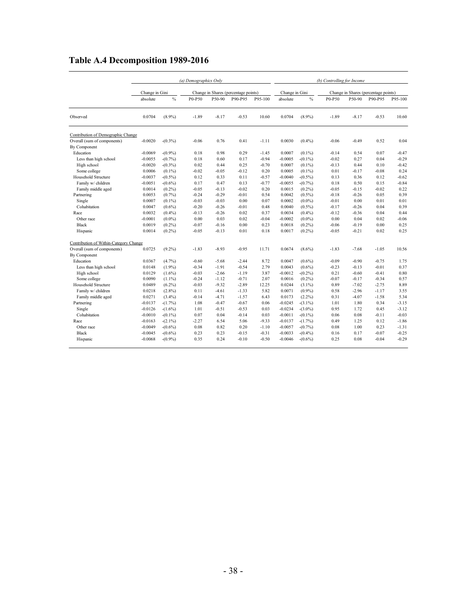|  |  |  |  | Table A.4 Decomposition 1989-2016 |
|--|--|--|--|-----------------------------------|
|--|--|--|--|-----------------------------------|

|                                        |                |            | (a) Demographics Only |         |                                      |         |                |               | (b) Controlling for Income |         |                                      |         |
|----------------------------------------|----------------|------------|-----------------------|---------|--------------------------------------|---------|----------------|---------------|----------------------------|---------|--------------------------------------|---------|
|                                        | Change in Gini |            |                       |         | Change in Shares (percentage points) |         | Change in Gini |               |                            |         | Change in Shares (percentage points) |         |
|                                        | absolute       | $\%$       | P0-P50                | P50-90  | P90-P95                              | P95-100 | absolute       | $\frac{0}{0}$ | P0-P50                     | P50-90  | P90-P95                              | P95-100 |
| Observed                               | 0.0704         | $(8.9\%)$  | $-1.89$               | $-8.17$ | $-0.53$                              | 10.60   | 0.0704         | $(8.9\%)$     | $-1.89$                    | $-8.17$ | $-0.53$                              | 10.60   |
| Contribution of Demographic Change     |                |            |                       |         |                                      |         |                |               |                            |         |                                      |         |
| Overall (sum of components)            | $-0.0020$      | $-(0.3\%)$ | $-0.06$               | 0.76    | 0.41                                 | $-1.11$ | 0.0030         | $(0.4\%)$     | $-0.06$                    | $-0.49$ | 0.52                                 | 0.04    |
| By Component                           |                |            |                       |         |                                      |         |                |               |                            |         |                                      |         |
| Education                              | $-0.0069$      | $-(0.9\%)$ | 0.18                  | 0.98    | 0.29                                 | $-1.45$ | 0.0007         | $(0.1\%)$     | $-0.14$                    | 0.54    | 0.07                                 | $-0.47$ |
| Less than high school                  | $-0.0055$      | $-(0.7\%)$ | 0.18                  | 0.60    | 0.17                                 | $-0.94$ | $-0.0005$      | $-(0.1\%)$    | $-0.02$                    | 0.27    | 0.04                                 | $-0.29$ |
| High school                            | $-0.0020$      | $-(0.3\%)$ | 0.02                  | 0.44    | 0.25                                 | $-0.70$ | 0.0007         | $(0.1\%)$     | $-0.13$                    | 0.44    | 0.10                                 | $-0.42$ |
| Some college                           | 0.0006         | $(0.1\%)$  | $-0.02$               | $-0.05$ | $-0.12$                              | 0.20    | 0.0005         | $(0.1\%)$     | 0.01                       | $-0.17$ | $-0.08$                              | 0.24    |
| Household Structure                    | $-0.0037$      | $-(0.5\%)$ | 0.12                  | 0.33    | 0.11                                 | $-0.57$ | $-0.0040$      | $-(0.5\%)$    | 0.13                       | 0.36    | 0.12                                 | $-0.62$ |
| Family w/ children                     | $-0.0051$      | $-(0.6\%)$ | 0.17                  | 0.47    | 0.13                                 | $-0.77$ | $-0.0055$      | $-(0.7%)$     | 0.18                       | 0.50    | 0.15                                 | $-0.84$ |
| Family middle aged                     | 0.0014         | $(0.2\%)$  | $-0.05$               | $-0.13$ | $-0.02$                              | 0.20    | 0.0015         | $(0.2\%)$     | $-0.05$                    | $-0.15$ | $-0.02$                              | 0.22    |
| Partnering                             | 0.0053         | $(0.7\%)$  | $-0.24$               | $-0.29$ | $-0.01$                              | 0.54    | 0.0042         | $(0.5\%)$     | $-0.18$                    | $-0.26$ | 0.05                                 | 0.39    |
| Single                                 | 0.0007         | $(0.1\%)$  | $-0.03$               | $-0.03$ | 0.00                                 | 0.07    | 0.0002         | $(0.0\%)$     | $-0.01$                    | 0.00    | 0.01                                 | 0.01    |
| Cohabitation                           | 0.0047         | $(0.6\%)$  | $-0.20$               | $-0.26$ | $-0.01$                              | 0.48    | 0.0040         | $(0.5\%)$     | $-0.17$                    | $-0.26$ | 0.04                                 | 0.39    |
| Race                                   | 0.0032         | $(0.4\%)$  | $-0.13$               | $-0.26$ | 0.02                                 | 0.37    | 0.0034         | $(0.4\%)$     | $-0.12$                    | $-0.36$ | 0.04                                 | 0.44    |
| Other race                             | $-0.0001$      | $(0.0\%)$  | 0.00                  | 0.03    | 0.02                                 | $-0.04$ | $-0.0002$      | $(0.0\%)$     | 0.00                       | 0.04    | 0.02                                 | $-0.06$ |
| <b>Black</b>                           | 0.0019         | $(0.2\%)$  | $-0.07$               | $-0.16$ | 0.00                                 | 0.23    | 0.0018         | $(0.2\%)$     | $-0.06$                    | $-0.19$ | 0.00                                 | 0.25    |
| Hispanic                               | 0.0014         | $(0.2\%)$  | $-0.05$               | $-0.13$ | 0.01                                 | 0.18    | 0.0017         | $(0.2\%)$     | $-0.05$                    | $-0.21$ | 0.02                                 | 0.25    |
| Contribution of Within-Category Change |                |            |                       |         |                                      |         |                |               |                            |         |                                      |         |
| Overall (sum of components)            | 0.0725         | $(9.2\%)$  | $-1.83$               | $-8.93$ | $-0.95$                              | 11.71   | 0.0674         | $(8.6\%)$     | $-1.83$                    | $-7.68$ | $-1.05$                              | 10.56   |
| By Component                           |                |            |                       |         |                                      |         |                |               |                            |         |                                      |         |
| Education                              | 0.0367         | $(4.7\%)$  | $-0.60$               | $-5.68$ | $-2.44$                              | 8.72    | 0.0047         | $(0.6\%)$     | $-0.09$                    | $-0.90$ | $-0.75$                              | 1.75    |
| Less than high school                  | 0.0148         | $(1.9\%)$  | $-0.34$               | $-1.91$ | $-0.54$                              | 2.79    | 0.0043         | $(0.6\%)$     | $-0.23$                    | $-0.13$ | $-0.01$                              | 0.37    |
| High school                            | 0.0129         | $(1.6\%)$  | $-0.03$               | $-2.66$ | $-1.19$                              | 3.87    | $-0.0012$      | $-(0.2\%)$    | 0.21                       | $-0.60$ | $-0.41$                              | 0.80    |
| Some college                           | 0.0090         | $(1.1\%)$  | $-0.24$               | $-1.12$ | $-0.71$                              | 2.07    | 0.0016         | $(0.2\%)$     | $-0.07$                    | $-0.17$ | $-0.34$                              | 0.57    |
| Household Structure                    | 0.0489         | $(6.2\%)$  | $-0.03$               | $-9.32$ | $-2.89$                              | 12.25   | 0.0244         | $(3.1\%)$     | 0.89                       | $-7.02$ | $-2.75$                              | 8.89    |
| Family w/ children                     | 0.0218         | $(2.8\%)$  | 0.11                  | $-4.61$ | $-1.33$                              | 5.82    | 0.0071         | $(0.9\%)$     | 0.58                       | $-2.96$ | $-1.17$                              | 3.55    |
| Family middle aged                     | 0.0271         | $(3.4\%)$  | $-0.14$               | $-4.71$ | $-1.57$                              | 6.43    | 0.0173         | $(2.2\%)$     | 0.31                       | $-4.07$ | $-1.58$                              | 5.34    |
| Partnering                             | $-0.0137$      | $-(1.7%)$  | 1.08                  | $-0.47$ | $-0.67$                              | 0.06    | $-0.0245$      | $-(3.1\%)$    | 1.01                       | 1.80    | 0.34                                 | $-3.15$ |
| Single                                 | $-0.0126$      | $-(1.6%)$  | 1.01                  | $-0.51$ | $-0.53$                              | 0.03    | $-0.0234$      | $-(3.0\%)$    | 0.95                       | 1.72    | 0.45                                 | $-3.12$ |
| Cohabitation                           | $-0.0010$      | $-(0.1\%)$ | 0.07                  | 0.04    | $-0.14$                              | 0.03    | $-0.0011$      | $-(0.1\%)$    | 0.06                       | 0.08    | $-0.11$                              | $-0.03$ |
| Race                                   | $-0.0163$      | $-(2.1\%)$ | $-2.27$               | 6.54    | 5.06                                 | $-9.33$ | $-0.0137$      | $-(1.7%)$     | 0.49                       | 1.25    | 0.12                                 | $-1.86$ |
| Other race                             | $-0.0049$      | $-(0.6\%)$ | 0.08                  | 0.82    | 0.20                                 | $-1.10$ | $-0.0057$      | $-(0.7\%)$    | 0.08                       | 1.00    | 0.23                                 | $-1.31$ |
| <b>Black</b>                           | $-0.0045$      | $-(0.6\%)$ | 0.23                  | 0.23    | $-0.15$                              | $-0.31$ | $-0.0033$      | $-(0.4\%)$    | 0.16                       | 0.17    | $-0.07$                              | $-0.25$ |
| Hispanic                               | $-0.0068$      | $-(0.9\%)$ | 0.35                  | 0.24    | $-0.10$                              | $-0.50$ | $-0.0046$      | $-(0.6%)$     | 0.25                       | 0.08    | $-0.04$                              | $-0.29$ |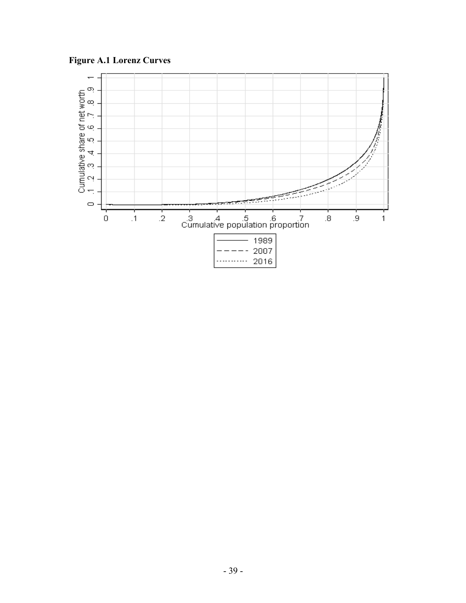**Figure A.1 Lorenz Curves**